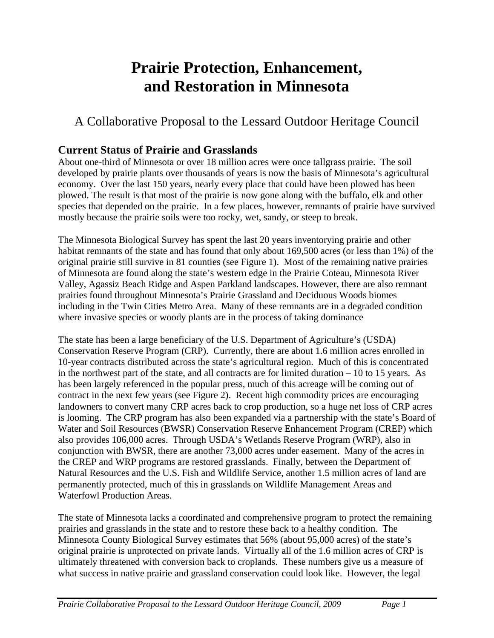# **Prairie Protection, Enhancement, and Restoration in Minnesota**

# A Collaborative Proposal to the Lessard Outdoor Heritage Council

# **Current Status of Prairie and Grasslands**

About one-third of Minnesota or over 18 million acres were once tallgrass prairie. The soil developed by prairie plants over thousands of years is now the basis of Minnesota's agricultural economy. Over the last 150 years, nearly every place that could have been plowed has been plowed. The result is that most of the prairie is now gone along with the buffalo, elk and other species that depended on the prairie. In a few places, however, remnants of prairie have survived mostly because the prairie soils were too rocky, wet, sandy, or steep to break.

The Minnesota Biological Survey has spent the last 20 years inventorying prairie and other habitat remnants of the state and has found that only about 169,500 acres (or less than 1%) of the original prairie still survive in 81 counties (see Figure 1). Most of the remaining native prairies of Minnesota are found along the state's western edge in the Prairie Coteau, Minnesota River Valley, Agassiz Beach Ridge and Aspen Parkland landscapes. However, there are also remnant prairies found throughout Minnesota's Prairie Grassland and Deciduous Woods biomes including in the Twin Cities Metro Area. Many of these remnants are in a degraded condition where invasive species or woody plants are in the process of taking dominance

The state has been a large beneficiary of the U.S. Department of Agriculture's (USDA) Conservation Reserve Program (CRP). Currently, there are about 1.6 million acres enrolled in 10-year contracts distributed across the state's agricultural region. Much of this is concentrated in the northwest part of the state, and all contracts are for limited duration – 10 to 15 years. As has been largely referenced in the popular press, much of this acreage will be coming out of contract in the next few years (see Figure 2). Recent high commodity prices are encouraging landowners to convert many CRP acres back to crop production, so a huge net loss of CRP acres is looming. The CRP program has also been expanded via a partnership with the state's Board of Water and Soil Resources (BWSR) Conservation Reserve Enhancement Program (CREP) which also provides 106,000 acres. Through USDA's Wetlands Reserve Program (WRP), also in conjunction with BWSR, there are another 73,000 acres under easement. Many of the acres in the CREP and WRP programs are restored grasslands. Finally, between the Department of Natural Resources and the U.S. Fish and Wildlife Service, another 1.5 million acres of land are permanently protected, much of this in grasslands on Wildlife Management Areas and Waterfowl Production Areas.

The state of Minnesota lacks a coordinated and comprehensive program to protect the remaining prairies and grasslands in the state and to restore these back to a healthy condition. The Minnesota County Biological Survey estimates that 56% (about 95,000 acres) of the state's original prairie is unprotected on private lands. Virtually all of the 1.6 million acres of CRP is ultimately threatened with conversion back to croplands. These numbers give us a measure of what success in native prairie and grassland conservation could look like. However, the legal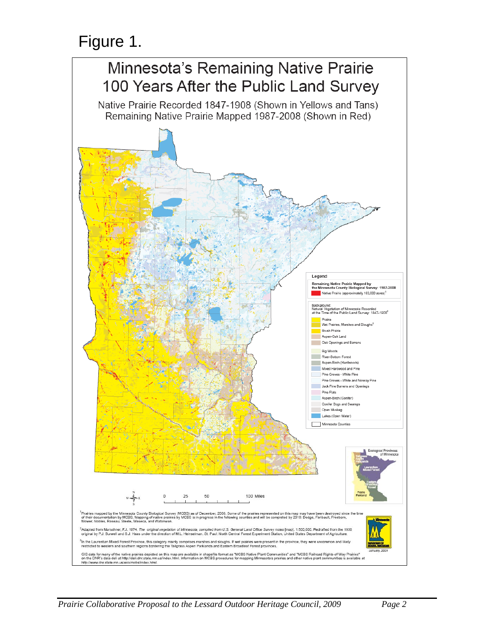# Figure 1.

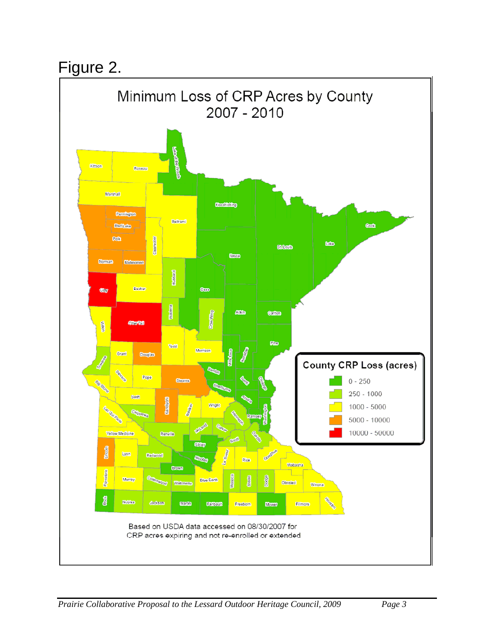# Figure 2.

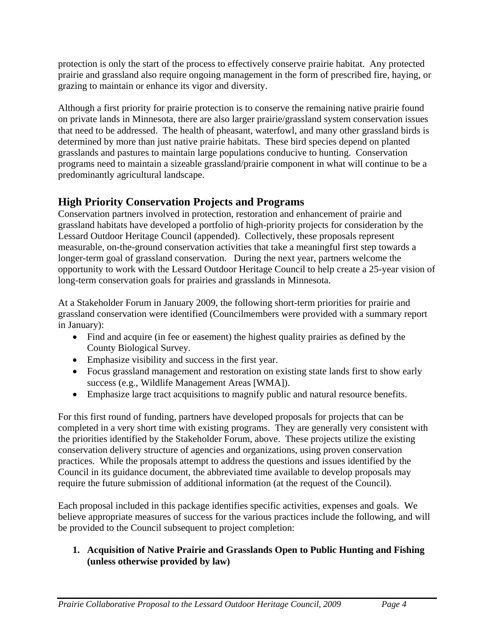protection is only the start of the process to effectively conserve prairie habitat. Any protected prairie and grassland also require ongoing management in the form of prescribed fire, haying, or grazing to maintain or enhance its vigor and diversity.

Although a first priority for prairie protection is to conserve the remaining native prairie found on private lands in Minnesota, there are also larger prairie/grassland system conservation issues that need to be addressed. The health of pheasant, waterfowl, and many other grassland birds is determined by more than just native prairie habitats. These bird species depend on planted grasslands and pastures to maintain large populations conducive to hunting. Conservation programs need to maintain a sizeable grassland/prairie component in what will continue to be a predominantly agricultural landscape.

# **High Priority Conservation Projects and Programs**

Conservation partners involved in protection, restoration and enhancement of prairie and grassland habitats have developed a portfolio of high-priority projects for consideration by the Lessard Outdoor Heritage Council (appended). Collectively, these proposals represent measurable, on-the-ground conservation activities that take a meaningful first step towards a longer-term goal of grassland conservation. During the next year, partners welcome the opportunity to work with the Lessard Outdoor Heritage Council to help create a 25-year vision of long-term conservation goals for prairies and grasslands in Minnesota.

At a Stakeholder Forum in January 2009, the following short-term priorities for prairie and grassland conservation were identified (Councilmembers were provided with a summary report in January):

- Find and acquire (in fee or easement) the highest quality prairies as defined by the County Biological Survey.
- Emphasize visibility and success in the first year.
- Focus grassland management and restoration on existing state lands first to show early success (e.g., Wildlife Management Areas [WMA]).
- Emphasize large tract acquisitions to magnify public and natural resource benefits.

For this first round of funding, partners have developed proposals for projects that can be completed in a very short time with existing programs. They are generally very consistent with the priorities identified by the Stakeholder Forum, above. These projects utilize the existing conservation delivery structure of agencies and organizations, using proven conservation practices. While the proposals attempt to address the questions and issues identified by the Council in its guidance document, the abbreviated time available to develop proposals may require the future submission of additional information (at the request of the Council).

Each proposal included in this package identifies specific activities, expenses and goals. We believe appropriate measures of success for the various practices include the following, and will be provided to the Council subsequent to project completion:

### **1. Acquisition of Native Prairie and Grasslands Open to Public Hunting and Fishing (unless otherwise provided by law)**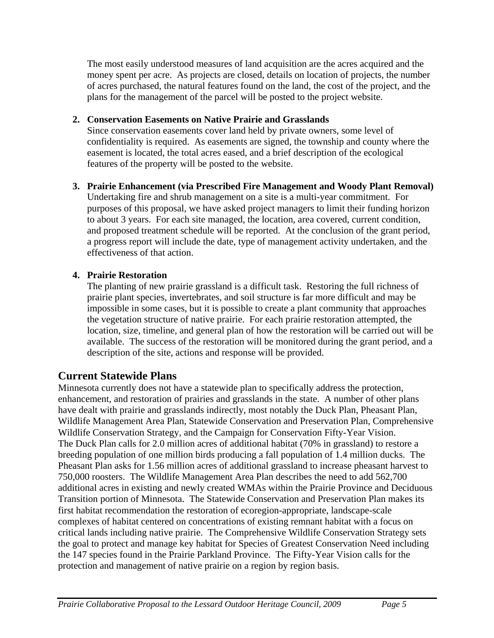The most easily understood measures of land acquisition are the acres acquired and the money spent per acre. As projects are closed, details on location of projects, the number of acres purchased, the natural features found on the land, the cost of the project, and the plans for the management of the parcel will be posted to the project website.

# **2. Conservation Easements on Native Prairie and Grasslands**

 Since conservation easements cover land held by private owners, some level of confidentiality is required. As easements are signed, the township and county where the easement is located, the total acres eased, and a brief description of the ecological features of the property will be posted to the website.

# **3. Prairie Enhancement (via Prescribed Fire Management and Woody Plant Removal)**

 Undertaking fire and shrub management on a site is a multi-year commitment. For purposes of this proposal, we have asked project managers to limit their funding horizon to about 3 years. For each site managed, the location, area covered, current condition, and proposed treatment schedule will be reported. At the conclusion of the grant period, a progress report will include the date, type of management activity undertaken, and the effectiveness of that action.

# **4. Prairie Restoration**

 The planting of new prairie grassland is a difficult task. Restoring the full richness of prairie plant species, invertebrates, and soil structure is far more difficult and may be impossible in some cases, but it is possible to create a plant community that approaches the vegetation structure of native prairie. For each prairie restoration attempted, the location, size, timeline, and general plan of how the restoration will be carried out will be available. The success of the restoration will be monitored during the grant period, and a description of the site, actions and response will be provided.

# **Current Statewide Plans**

Minnesota currently does not have a statewide plan to specifically address the protection, enhancement, and restoration of prairies and grasslands in the state. A number of other plans have dealt with prairie and grasslands indirectly, most notably the Duck Plan, Pheasant Plan, Wildlife Management Area Plan, Statewide Conservation and Preservation Plan, Comprehensive Wildlife Conservation Strategy, and the Campaign for Conservation Fifty-Year Vision. The Duck Plan calls for 2.0 million acres of additional habitat (70% in grassland) to restore a breeding population of one million birds producing a fall population of 1.4 million ducks. The Pheasant Plan asks for 1.56 million acres of additional grassland to increase pheasant harvest to 750,000 roosters. The Wildlife Management Area Plan describes the need to add 562,700 additional acres in existing and newly created WMAs within the Prairie Province and Deciduous Transition portion of Minnesota. The Statewide Conservation and Preservation Plan makes its first habitat recommendation the restoration of ecoregion-appropriate, landscape-scale complexes of habitat centered on concentrations of existing remnant habitat with a focus on critical lands including native prairie. The Comprehensive Wildlife Conservation Strategy sets the goal to protect and manage key habitat for Species of Greatest Conservation Need including the 147 species found in the Prairie Parkland Province. The Fifty-Year Vision calls for the protection and management of native prairie on a region by region basis.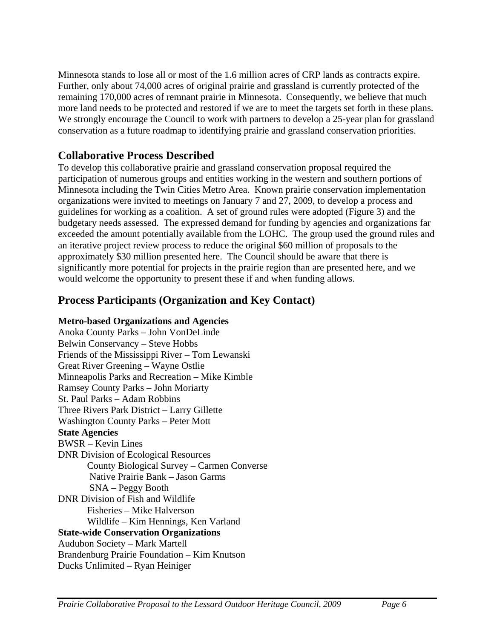Minnesota stands to lose all or most of the 1.6 million acres of CRP lands as contracts expire. Further, only about 74,000 acres of original prairie and grassland is currently protected of the remaining 170,000 acres of remnant prairie in Minnesota. Consequently, we believe that much more land needs to be protected and restored if we are to meet the targets set forth in these plans. We strongly encourage the Council to work with partners to develop a 25-year plan for grassland conservation as a future roadmap to identifying prairie and grassland conservation priorities.

# **Collaborative Process Described**

To develop this collaborative prairie and grassland conservation proposal required the participation of numerous groups and entities working in the western and southern portions of Minnesota including the Twin Cities Metro Area. Known prairie conservation implementation organizations were invited to meetings on January 7 and 27, 2009, to develop a process and guidelines for working as a coalition. A set of ground rules were adopted (Figure 3) and the budgetary needs assessed. The expressed demand for funding by agencies and organizations far exceeded the amount potentially available from the LOHC. The group used the ground rules and an iterative project review process to reduce the original \$60 million of proposals to the approximately \$30 million presented here. The Council should be aware that there is significantly more potential for projects in the prairie region than are presented here, and we would welcome the opportunity to present these if and when funding allows.

# **Process Participants (Organization and Key Contact)**

## **Metro-based Organizations and Agencies**

Anoka County Parks – John VonDeLinde Belwin Conservancy – Steve Hobbs Friends of the Mississippi River – Tom Lewanski Great River Greening – Wayne Ostlie Minneapolis Parks and Recreation – Mike Kimble Ramsey County Parks – John Moriarty St. Paul Parks – Adam Robbins Three Rivers Park District – Larry Gillette Washington County Parks – Peter Mott **State Agencies**  BWSR – Kevin Lines DNR Division of Ecological Resources County Biological Survey – Carmen Converse Native Prairie Bank – Jason Garms SNA – Peggy Booth DNR Division of Fish and Wildlife Fisheries – Mike Halverson Wildlife – Kim Hennings, Ken Varland **State-wide Conservation Organizations**  Audubon Society – Mark Martell Brandenburg Prairie Foundation – Kim Knutson Ducks Unlimited – Ryan Heiniger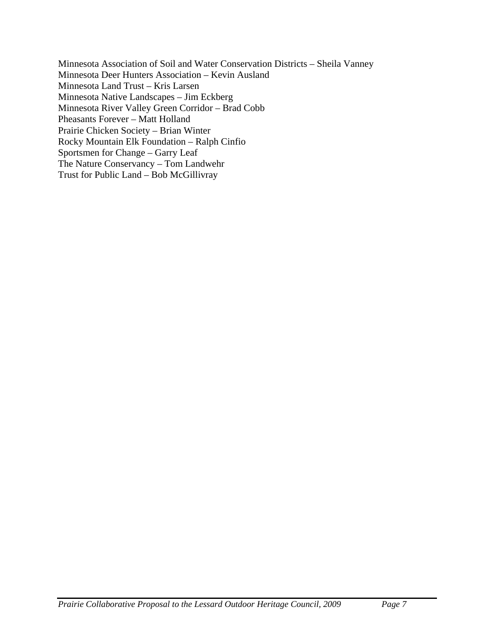Minnesota Association of Soil and Water Conservation Districts – Sheila Vanney Minnesota Deer Hunters Association – Kevin Ausland Minnesota Land Trust – Kris Larsen Minnesota Native Landscapes – Jim Eckberg Minnesota River Valley Green Corridor – Brad Cobb Pheasants Forever – Matt Holland Prairie Chicken Society – Brian Winter Rocky Mountain Elk Foundation – Ralph Cinfio Sportsmen for Change – Garry Leaf The Nature Conservancy – Tom Landwehr Trust for Public Land – Bob McGillivray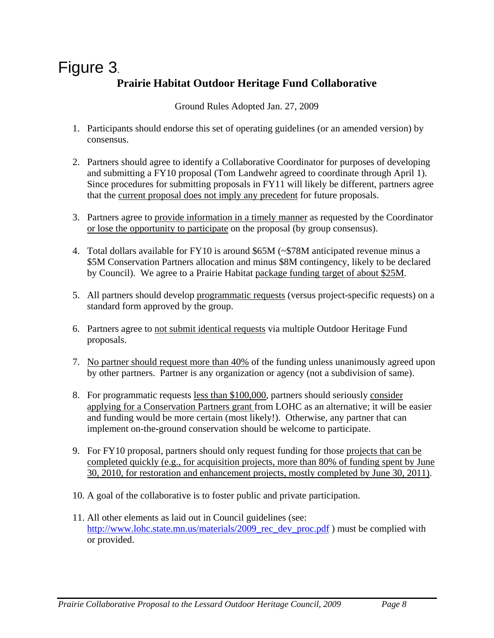# Figure 3. **Prairie Habitat Outdoor Heritage Fund Collaborative**

Ground Rules Adopted Jan. 27, 2009

- 1. Participants should endorse this set of operating guidelines (or an amended version) by consensus.
- 2. Partners should agree to identify a Collaborative Coordinator for purposes of developing and submitting a FY10 proposal (Tom Landwehr agreed to coordinate through April 1). Since procedures for submitting proposals in FY11 will likely be different, partners agree that the current proposal does not imply any precedent for future proposals.
- 3. Partners agree to provide information in a timely manner as requested by the Coordinator or lose the opportunity to participate on the proposal (by group consensus).
- 4. Total dollars available for FY10 is around \$65M (~\$78M anticipated revenue minus a \$5M Conservation Partners allocation and minus \$8M contingency, likely to be declared by Council). We agree to a Prairie Habitat package funding target of about \$25M.
- 5. All partners should develop programmatic requests (versus project-specific requests) on a standard form approved by the group.
- 6. Partners agree to not submit identical requests via multiple Outdoor Heritage Fund proposals.
- 7. No partner should request more than 40% of the funding unless unanimously agreed upon by other partners. Partner is any organization or agency (not a subdivision of same).
- 8. For programmatic requests less than \$100,000, partners should seriously consider applying for a Conservation Partners grant from LOHC as an alternative; it will be easier and funding would be more certain (most likely!). Otherwise, any partner that can implement on-the-ground conservation should be welcome to participate.
- 9. For FY10 proposal, partners should only request funding for those projects that can be completed quickly (e.g., for acquisition projects, more than 80% of funding spent by June 30, 2010, for restoration and enhancement projects, mostly completed by June 30, 2011).
- 10. A goal of the collaborative is to foster public and private participation.
- 11. All other elements as laid out in Council guidelines (see: http://www.lohc.state.mn.us/materials/2009\_rec\_dev\_proc.pdf ) must be complied with or provided.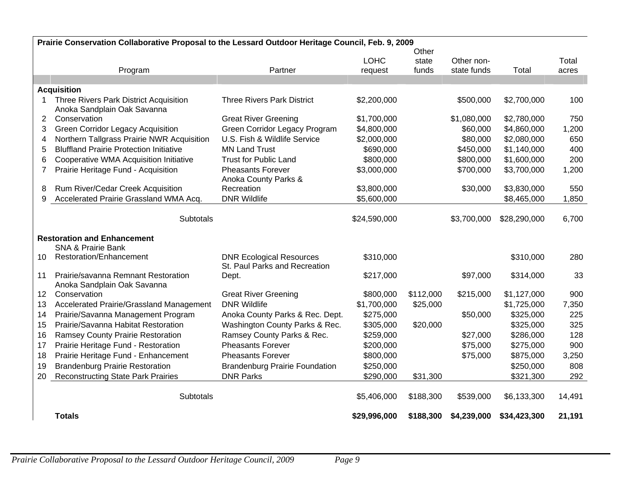|                 | Prairie Conservation Collaborative Proposal to the Lessard Outdoor Heritage Council, Feb. 9, 2009 |                                       |              |           |             |              |        |
|-----------------|---------------------------------------------------------------------------------------------------|---------------------------------------|--------------|-----------|-------------|--------------|--------|
|                 |                                                                                                   |                                       |              | Other     |             |              |        |
|                 |                                                                                                   |                                       | <b>LOHC</b>  | state     | Other non-  |              | Total  |
|                 | Program                                                                                           | Partner                               | request      | funds     | state funds | Total        | acres  |
|                 | <b>Acquisition</b>                                                                                |                                       |              |           |             |              |        |
| 1               | Three Rivers Park District Acquisition                                                            | <b>Three Rivers Park District</b>     | \$2,200,000  |           | \$500,000   | \$2,700,000  | 100    |
|                 | Anoka Sandplain Oak Savanna                                                                       |                                       |              |           |             |              |        |
| $\overline{2}$  | Conservation                                                                                      | <b>Great River Greening</b>           | \$1,700,000  |           | \$1,080,000 | \$2,780,000  | 750    |
| 3               | <b>Green Corridor Legacy Acquisition</b>                                                          | Green Corridor Legacy Program         | \$4,800,000  |           | \$60,000    | \$4,860,000  | 1,200  |
| 4               | Northern Tallgrass Prairie NWR Acquisition                                                        | U.S. Fish & Wildlife Service          | \$2,000,000  |           | \$80,000    | \$2,080,000  | 650    |
| 5               | <b>Bluffland Prairie Protection Initiative</b>                                                    | <b>MN Land Trust</b>                  | \$690,000    |           | \$450,000   | \$1,140,000  | 400    |
| 6               | Cooperative WMA Acquisition Initiative                                                            | <b>Trust for Public Land</b>          | \$800,000    |           | \$800,000   | \$1,600,000  | 200    |
| 7               | Prairie Heritage Fund - Acquisition                                                               | <b>Pheasants Forever</b>              | \$3,000,000  |           | \$700,000   | \$3,700,000  | 1,200  |
|                 |                                                                                                   | Anoka County Parks &                  |              |           |             |              |        |
| 8               | Rum River/Cedar Creek Acquisition                                                                 | Recreation                            | \$3,800,000  |           | \$30,000    | \$3,830,000  | 550    |
| 9               | Accelerated Prairie Grassland WMA Acq.                                                            | <b>DNR Wildlife</b>                   | \$5,600,000  |           |             | \$8,465,000  | 1,850  |
|                 |                                                                                                   |                                       |              |           |             |              |        |
|                 | Subtotals                                                                                         |                                       | \$24,590,000 |           | \$3,700,000 | \$28,290,000 | 6,700  |
|                 | <b>Restoration and Enhancement</b>                                                                |                                       |              |           |             |              |        |
|                 | <b>SNA &amp; Prairie Bank</b>                                                                     |                                       |              |           |             |              |        |
| 10              | Restoration/Enhancement                                                                           | <b>DNR Ecological Resources</b>       | \$310,000    |           |             | \$310,000    | 280    |
|                 |                                                                                                   | St. Paul Parks and Recreation         |              |           |             |              |        |
| 11              | Prairie/savanna Remnant Restoration                                                               | Dept.                                 | \$217,000    |           | \$97,000    | \$314,000    | 33     |
|                 | Anoka Sandplain Oak Savanna                                                                       |                                       |              |           |             |              |        |
| 12 <sup>°</sup> | Conservation                                                                                      | <b>Great River Greening</b>           | \$800,000    | \$112,000 | \$215,000   | \$1,127,000  | 900    |
| 13              | Accelerated Prairie/Grassland Management                                                          | <b>DNR Wildlife</b>                   | \$1,700,000  | \$25,000  |             | \$1,725,000  | 7,350  |
| 14              | Prairie/Savanna Management Program                                                                | Anoka County Parks & Rec. Dept.       | \$275,000    |           | \$50,000    | \$325,000    | 225    |
| 15              | Prairie/Savanna Habitat Restoration                                                               | Washington County Parks & Rec.        | \$305,000    | \$20,000  |             | \$325,000    | 325    |
| 16              | Ramsey County Prairie Restoration                                                                 | Ramsey County Parks & Rec.            | \$259,000    |           | \$27,000    | \$286,000    | 128    |
| 17              | Prairie Heritage Fund - Restoration                                                               | <b>Pheasants Forever</b>              | \$200,000    |           | \$75,000    | \$275,000    | 900    |
| 18              | Prairie Heritage Fund - Enhancement                                                               | <b>Pheasants Forever</b>              | \$800,000    |           | \$75,000    | \$875,000    | 3,250  |
| 19              | <b>Brandenburg Prairie Restoration</b>                                                            | <b>Brandenburg Prairie Foundation</b> | \$250,000    |           |             | \$250,000    | 808    |
| 20              | <b>Reconstructing State Park Prairies</b>                                                         | <b>DNR Parks</b>                      | \$290,000    | \$31,300  |             | \$321,300    | 292    |
|                 |                                                                                                   |                                       |              |           |             |              |        |
|                 | Subtotals                                                                                         |                                       | \$5,406,000  | \$188,300 | \$539,000   | \$6,133,300  | 14,491 |
|                 | <b>Totals</b>                                                                                     |                                       | \$29,996,000 | \$188,300 | \$4,239,000 | \$34,423,300 | 21,191 |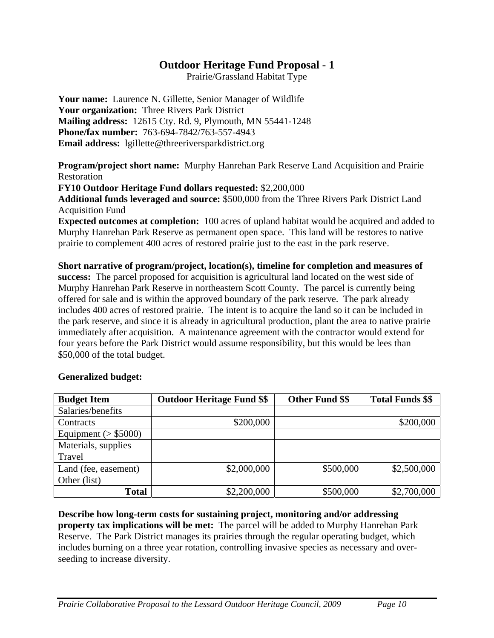Prairie/Grassland Habitat Type

**Your name:** Laurence N. Gillette, Senior Manager of Wildlife **Your organization:** Three Rivers Park District **Mailing address:** 12615 Cty. Rd. 9, Plymouth, MN 55441-1248 **Phone/fax number:** 763-694-7842/763-557-4943 **Email address:** lgillette@threeriversparkdistrict.org

**Program/project short name:** Murphy Hanrehan Park Reserve Land Acquisition and Prairie Restoration

**FY10 Outdoor Heritage Fund dollars requested:** \$2,200,000

**Additional funds leveraged and source:** \$500,000 from the Three Rivers Park District Land Acquisition Fund

**Expected outcomes at completion:** 100 acres of upland habitat would be acquired and added to Murphy Hanrehan Park Reserve as permanent open space. This land will be restores to native prairie to complement 400 acres of restored prairie just to the east in the park reserve.

**Short narrative of program/project, location(s), timeline for completion and measures of success:** The parcel proposed for acquisition is agricultural land located on the west side of Murphy Hanrehan Park Reserve in northeastern Scott County. The parcel is currently being offered for sale and is within the approved boundary of the park reserve. The park already includes 400 acres of restored prairie. The intent is to acquire the land so it can be included in the park reserve, and since it is already in agricultural production, plant the area to native prairie immediately after acquisition. A maintenance agreement with the contractor would extend for four years before the Park District would assume responsibility, but this would be lees than \$50,000 of the total budget.

| <b>Budget Item</b>      | <b>Outdoor Heritage Fund \$\$</b> | <b>Other Fund \$\$</b> | <b>Total Funds \$\$</b> |
|-------------------------|-----------------------------------|------------------------|-------------------------|
| Salaries/benefits       |                                   |                        |                         |
| Contracts               | \$200,000                         |                        | \$200,000               |
| Equipment ( $>$ \$5000) |                                   |                        |                         |
| Materials, supplies     |                                   |                        |                         |
| Travel                  |                                   |                        |                         |
| Land (fee, easement)    | \$2,000,000                       | \$500,000              | \$2,500,000             |
| Other (list)            |                                   |                        |                         |
| <b>Total</b>            | \$2,200,000                       | \$500,000              | \$2,700,000             |

### **Generalized budget:**

**Describe how long-term costs for sustaining project, monitoring and/or addressing property tax implications will be met:** The parcel will be added to Murphy Hanrehan Park Reserve. The Park District manages its prairies through the regular operating budget, which includes burning on a three year rotation, controlling invasive species as necessary and overseeding to increase diversity.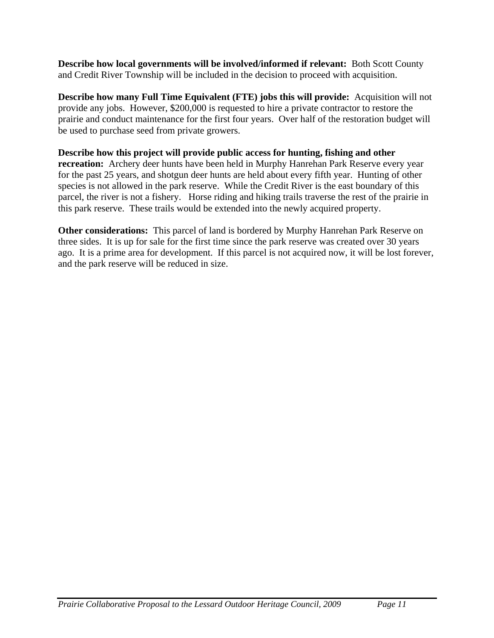**Describe how local governments will be involved/informed if relevant:** Both Scott County and Credit River Township will be included in the decision to proceed with acquisition.

**Describe how many Full Time Equivalent (FTE) jobs this will provide:** Acquisition will not provide any jobs. However, \$200,000 is requested to hire a private contractor to restore the prairie and conduct maintenance for the first four years. Over half of the restoration budget will be used to purchase seed from private growers.

**Describe how this project will provide public access for hunting, fishing and other recreation:** Archery deer hunts have been held in Murphy Hanrehan Park Reserve every year for the past 25 years, and shotgun deer hunts are held about every fifth year. Hunting of other species is not allowed in the park reserve. While the Credit River is the east boundary of this parcel, the river is not a fishery. Horse riding and hiking trails traverse the rest of the prairie in this park reserve. These trails would be extended into the newly acquired property.

**Other considerations:** This parcel of land is bordered by Murphy Hanrehan Park Reserve on three sides. It is up for sale for the first time since the park reserve was created over 30 years ago. It is a prime area for development. If this parcel is not acquired now, it will be lost forever, and the park reserve will be reduced in size.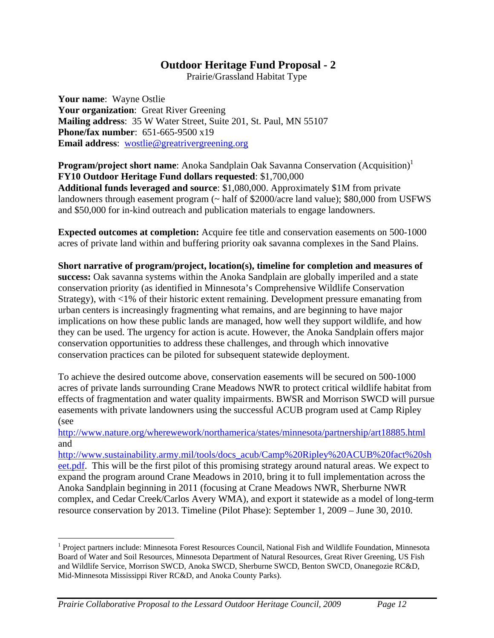Prairie/Grassland Habitat Type

**Your name**: Wayne Ostlie **Your organization**: Great River Greening **Mailing address**: 35 W Water Street, Suite 201, St. Paul, MN 55107 **Phone/fax number**: 651-665-9500 x19 **Email address**: wostlie@greatrivergreening.org

**Program/project short name:** Anoka Sandplain Oak Savanna Conservation (Acquisition)<sup>1</sup> **FY10 Outdoor Heritage Fund dollars requested**: \$1,700,000 **Additional funds leveraged and source**: \$1,080,000. Approximately \$1M from private landowners through easement program (~ half of \$2000/acre land value); \$80,000 from USFWS and \$50,000 for in-kind outreach and publication materials to engage landowners.

**Expected outcomes at completion:** Acquire fee title and conservation easements on 500-1000 acres of private land within and buffering priority oak savanna complexes in the Sand Plains.

**Short narrative of program/project, location(s), timeline for completion and measures of success:** Oak savanna systems within the Anoka Sandplain are globally imperiled and a state conservation priority (as identified in Minnesota's Comprehensive Wildlife Conservation Strategy), with <1% of their historic extent remaining. Development pressure emanating from urban centers is increasingly fragmenting what remains, and are beginning to have major implications on how these public lands are managed, how well they support wildlife, and how they can be used. The urgency for action is acute. However, the Anoka Sandplain offers major conservation opportunities to address these challenges, and through which innovative conservation practices can be piloted for subsequent statewide deployment.

To achieve the desired outcome above, conservation easements will be secured on 500-1000 acres of private lands surrounding Crane Meadows NWR to protect critical wildlife habitat from effects of fragmentation and water quality impairments. BWSR and Morrison SWCD will pursue easements with private landowners using the successful ACUB program used at Camp Ripley (see

http://www.nature.org/wherewework/northamerica/states/minnesota/partnership/art18885.html and

http://www.sustainability.army.mil/tools/docs\_acub/Camp%20Ripley%20ACUB%20fact%20sh eet.pdf. This will be the first pilot of this promising strategy around natural areas. We expect to expand the program around Crane Meadows in 2010, bring it to full implementation across the Anoka Sandplain beginning in 2011 (focusing at Crane Meadows NWR, Sherburne NWR complex, and Cedar Creek/Carlos Avery WMA), and export it statewide as a model of long-term resource conservation by 2013. Timeline (Pilot Phase): September 1, 2009 – June 30, 2010.

 $\overline{a}$ 

<sup>&</sup>lt;sup>1</sup> Project partners include: Minnesota Forest Resources Council, National Fish and Wildlife Foundation, Minnesota Board of Water and Soil Resources, Minnesota Department of Natural Resources, Great River Greening, US Fish and Wildlife Service, Morrison SWCD, Anoka SWCD, Sherburne SWCD, Benton SWCD, Onanegozie RC&D, Mid-Minnesota Mississippi River RC&D, and Anoka County Parks).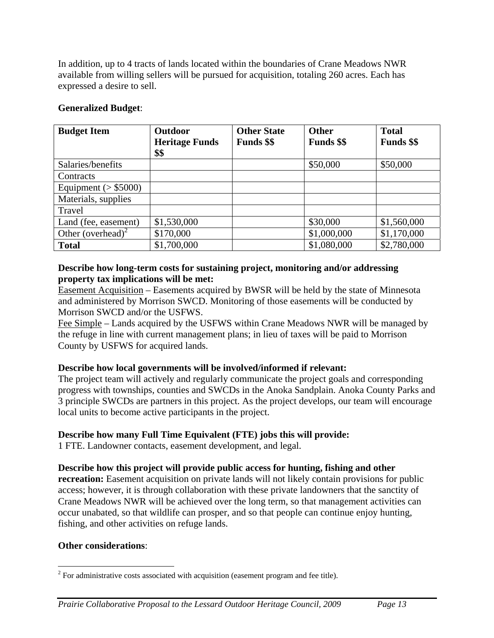In addition, up to 4 tracts of lands located within the boundaries of Crane Meadows NWR available from willing sellers will be pursued for acquisition, totaling 260 acres. Each has expressed a desire to sell.

### **Generalized Budget**:

| <b>Budget Item</b>            | Outdoor               | <b>Other State</b> | <b>Other</b>      | <b>Total</b>      |
|-------------------------------|-----------------------|--------------------|-------------------|-------------------|
|                               | <b>Heritage Funds</b> | <b>Funds</b> \$\$  | <b>Funds</b> \$\$ | <b>Funds</b> \$\$ |
|                               | \$\$                  |                    |                   |                   |
| Salaries/benefits             |                       |                    | \$50,000          | \$50,000          |
| Contracts                     |                       |                    |                   |                   |
| Equipment ( $>$ \$5000)       |                       |                    |                   |                   |
| Materials, supplies           |                       |                    |                   |                   |
| Travel                        |                       |                    |                   |                   |
| Land (fee, easement)          | \$1,530,000           |                    | \$30,000          | \$1,560,000       |
| Other (overhead) <sup>2</sup> | \$170,000             |                    | \$1,000,000       | \$1,170,000       |
| <b>Total</b>                  | \$1,700,000           |                    | \$1,080,000       | \$2,780,000       |

### **Describe how long-term costs for sustaining project, monitoring and/or addressing property tax implications will be met:**

Easement Acquisition – Easements acquired by BWSR will be held by the state of Minnesota and administered by Morrison SWCD. Monitoring of those easements will be conducted by Morrison SWCD and/or the USFWS.

Fee Simple – Lands acquired by the USFWS within Crane Meadows NWR will be managed by the refuge in line with current management plans; in lieu of taxes will be paid to Morrison County by USFWS for acquired lands.

# **Describe how local governments will be involved/informed if relevant:**

The project team will actively and regularly communicate the project goals and corresponding progress with townships, counties and SWCDs in the Anoka Sandplain. Anoka County Parks and 3 principle SWCDs are partners in this project. As the project develops, our team will encourage local units to become active participants in the project.

# **Describe how many Full Time Equivalent (FTE) jobs this will provide:**

1 FTE. Landowner contacts, easement development, and legal.

# **Describe how this project will provide public access for hunting, fishing and other**

**recreation:** Easement acquisition on private lands will not likely contain provisions for public access; however, it is through collaboration with these private landowners that the sanctity of Crane Meadows NWR will be achieved over the long term, so that management activities can occur unabated, so that wildlife can prosper, and so that people can continue enjoy hunting, fishing, and other activities on refuge lands.

### **Other considerations**:

<sup>&</sup>lt;sup>2</sup> For administrative costs associated with acquisition (easement program and fee title).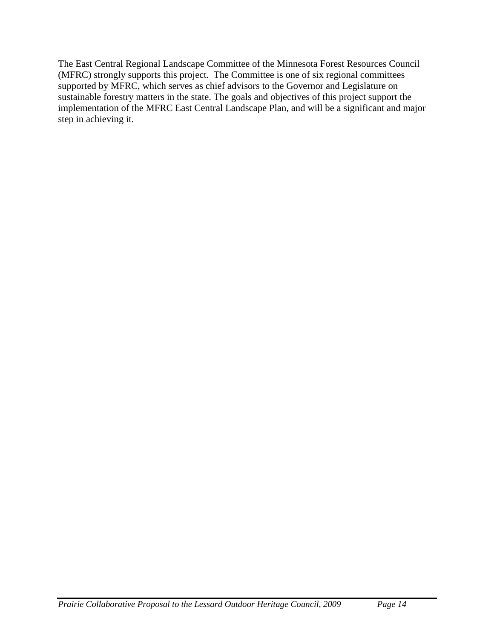The East Central Regional Landscape Committee of the Minnesota Forest Resources Council (MFRC) strongly supports this project. The Committee is one of six regional committees supported by MFRC, which serves as chief advisors to the Governor and Legislature on sustainable forestry matters in the state. The goals and objectives of this project support the implementation of the MFRC East Central Landscape Plan, and will be a significant and major step in achieving it.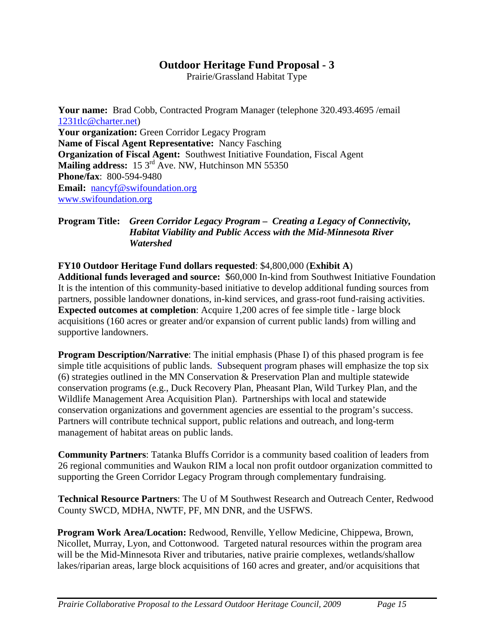Prairie/Grassland Habitat Type

**Your name:** Brad Cobb, Contracted Program Manager (telephone 320.493.4695 /email 1231tlc@charter.net) **Your organization:** Green Corridor Legacy Program **Name of Fiscal Agent Representative:** Nancy Fasching **Organization of Fiscal Agent:** Southwest Initiative Foundation, Fiscal Agent Mailing address: 15 3<sup>rd</sup> Ave. NW, Hutchinson MN 55350 **Phone/fax**: 800-594-9480 **Email:** nancyf@swifoundation.org www.swifoundation.org

### **Program Title:** *Green Corridor Legacy Program –**Creating a Legacy of Connectivity, Habitat Viability and Public Access with the Mid-Minnesota River Watershed*

# **FY10 Outdoor Heritage Fund dollars requested**: \$4,800,000 (**Exhibit A**)

**Additional funds leveraged and source:** \$60,000 In-kind from Southwest Initiative Foundation It is the intention of this community-based initiative to develop additional funding sources from partners, possible landowner donations, in-kind services, and grass-root fund-raising activities. **Expected outcomes at completion**: Acquire 1,200 acres of fee simple title - large block acquisitions (160 acres or greater and/or expansion of current public lands) from willing and supportive landowners.

**Program Description/Narrative:** The initial emphasis (Phase I) of this phased program is fee simple title acquisitions of public lands. Subsequent program phases will emphasize the top six (6) strategies outlined in the MN Conservation & Preservation Plan and multiple statewide conservation programs (e.g., Duck Recovery Plan, Pheasant Plan, Wild Turkey Plan, and the Wildlife Management Area Acquisition Plan). Partnerships with local and statewide conservation organizations and government agencies are essential to the program's success. Partners will contribute technical support, public relations and outreach, and long-term management of habitat areas on public lands.

**Community Partners**: Tatanka Bluffs Corridor is a community based coalition of leaders from 26 regional communities and Waukon RIM a local non profit outdoor organization committed to supporting the Green Corridor Legacy Program through complementary fundraising.

**Technical Resource Partners**: The U of M Southwest Research and Outreach Center, Redwood County SWCD, MDHA, NWTF, PF, MN DNR, and the USFWS.

**Program Work Area/Location:** Redwood, Renville, Yellow Medicine, Chippewa, Brown, Nicollet, Murray, Lyon, and Cottonwood. Targeted natural resources within the program area will be the Mid-Minnesota River and tributaries, native prairie complexes, wetlands/shallow lakes/riparian areas, large block acquisitions of 160 acres and greater, and/or acquisitions that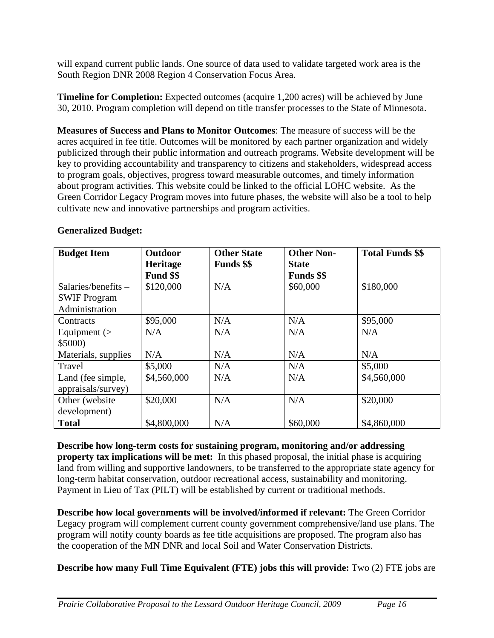will expand current public lands. One source of data used to validate targeted work area is the South Region DNR 2008 Region 4 Conservation Focus Area.

**Timeline for Completion:** Expected outcomes (acquire 1,200 acres) will be achieved by June 30, 2010. Program completion will depend on title transfer processes to the State of Minnesota.

**Measures of Success and Plans to Monitor Outcomes**: The measure of success will be the acres acquired in fee title. Outcomes will be monitored by each partner organization and widely publicized through their public information and outreach programs. Website development will be key to providing accountability and transparency to citizens and stakeholders, widespread access to program goals, objectives, progress toward measurable outcomes, and timely information about program activities. This website could be linked to the official LOHC website. As the Green Corridor Legacy Program moves into future phases, the website will also be a tool to help cultivate new and innovative partnerships and program activities.

| <b>Budget Item</b>                                             | Outdoor<br>Heritage<br>Fund \$\$ | <b>Other State</b><br><b>Funds</b> \$\$ | <b>Other Non-</b><br><b>State</b><br><b>Funds</b> \$\$ | <b>Total Funds \$\$</b> |
|----------------------------------------------------------------|----------------------------------|-----------------------------------------|--------------------------------------------------------|-------------------------|
| Salaries/benefits $-$<br><b>SWIF Program</b><br>Administration | \$120,000                        | N/A                                     | \$60,000                                               | \$180,000               |
| Contracts                                                      | \$95,000                         | N/A                                     | N/A                                                    | \$95,000                |
| Equipment $($<br>\$5000)                                       | N/A                              | N/A                                     | N/A                                                    | N/A                     |
| Materials, supplies                                            | N/A                              | N/A                                     | N/A                                                    | N/A                     |
| Travel                                                         | \$5,000                          | N/A                                     | N/A                                                    | \$5,000                 |
| Land (fee simple,<br>appraisals/survey)                        | \$4,560,000                      | N/A                                     | N/A                                                    | \$4,560,000             |
| Other (website)<br>development)                                | \$20,000                         | N/A                                     | N/A                                                    | \$20,000                |
| <b>Total</b>                                                   | \$4,800,000                      | N/A                                     | \$60,000                                               | \$4,860,000             |

# **Generalized Budget:**

**Describe how long-term costs for sustaining program, monitoring and/or addressing property tax implications will be met:** In this phased proposal, the initial phase is acquiring land from willing and supportive landowners, to be transferred to the appropriate state agency for long-term habitat conservation, outdoor recreational access, sustainability and monitoring. Payment in Lieu of Tax (PILT) will be established by current or traditional methods.

**Describe how local governments will be involved/informed if relevant:** The Green Corridor Legacy program will complement current county government comprehensive/land use plans. The program will notify county boards as fee title acquisitions are proposed. The program also has the cooperation of the MN DNR and local Soil and Water Conservation Districts.

**Describe how many Full Time Equivalent (FTE) jobs this will provide:** Two (2) FTE jobs are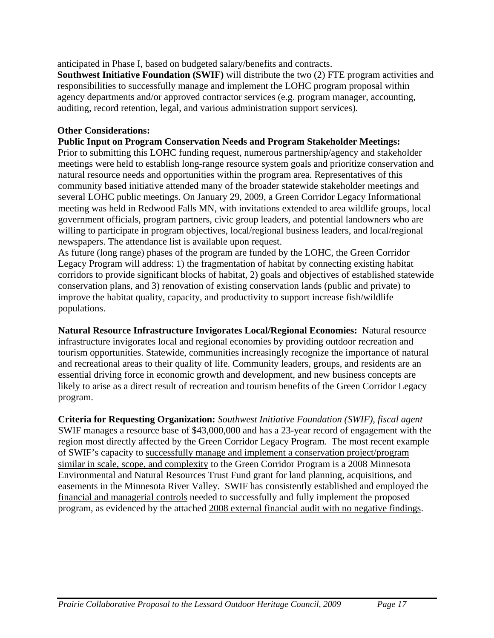anticipated in Phase I, based on budgeted salary/benefits and contracts.

**Southwest Initiative Foundation (SWIF)** will distribute the two (2) FTE program activities and responsibilities to successfully manage and implement the LOHC program proposal within agency departments and/or approved contractor services (e.g. program manager, accounting, auditing, record retention, legal, and various administration support services).

## **Other Considerations:**

### **Public Input on Program Conservation Needs and Program Stakeholder Meetings:**

Prior to submitting this LOHC funding request, numerous partnership/agency and stakeholder meetings were held to establish long-range resource system goals and prioritize conservation and natural resource needs and opportunities within the program area. Representatives of this community based initiative attended many of the broader statewide stakeholder meetings and several LOHC public meetings. On January 29, 2009, a Green Corridor Legacy Informational meeting was held in Redwood Falls MN, with invitations extended to area wildlife groups, local government officials, program partners, civic group leaders, and potential landowners who are willing to participate in program objectives, local/regional business leaders, and local/regional newspapers. The attendance list is available upon request.

As future (long range) phases of the program are funded by the LOHC, the Green Corridor Legacy Program will address: 1) the fragmentation of habitat by connecting existing habitat corridors to provide significant blocks of habitat, 2) goals and objectives of established statewide conservation plans, and 3) renovation of existing conservation lands (public and private) to improve the habitat quality, capacity, and productivity to support increase fish/wildlife populations.

**Natural Resource Infrastructure Invigorates Local/Regional Economies:** Natural resource infrastructure invigorates local and regional economies by providing outdoor recreation and tourism opportunities. Statewide, communities increasingly recognize the importance of natural and recreational areas to their quality of life. Community leaders, groups, and residents are an essential driving force in economic growth and development, and new business concepts are likely to arise as a direct result of recreation and tourism benefits of the Green Corridor Legacy program.

**Criteria for Requesting Organization:** *Southwest Initiative Foundation (SWIF), fiscal agent* SWIF manages a resource base of \$43,000,000 and has a 23-year record of engagement with the region most directly affected by the Green Corridor Legacy Program. The most recent example of SWIF's capacity to successfully manage and implement a conservation project/program similar in scale, scope, and complexity to the Green Corridor Program is a 2008 Minnesota Environmental and Natural Resources Trust Fund grant for land planning, acquisitions, and easements in the Minnesota River Valley. SWIF has consistently established and employed the financial and managerial controls needed to successfully and fully implement the proposed program, as evidenced by the attached 2008 external financial audit with no negative findings.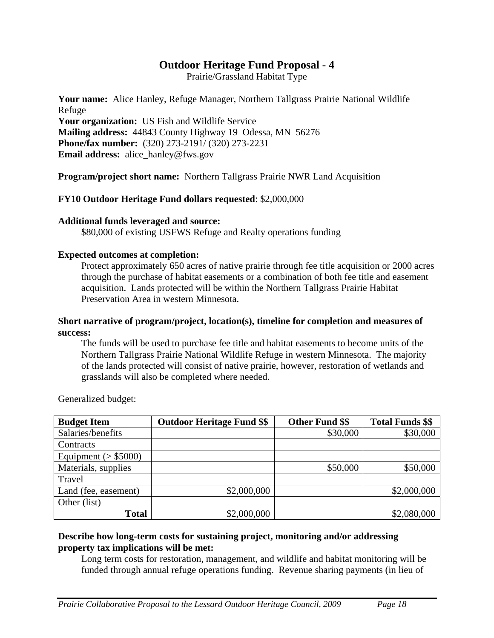Prairie/Grassland Habitat Type

**Your name:** Alice Hanley, Refuge Manager, Northern Tallgrass Prairie National Wildlife Refuge

**Your organization:** US Fish and Wildlife Service **Mailing address:** 44843 County Highway 19 Odessa, MN 56276 **Phone/fax number:** (320) 273-2191/ (320) 273-2231 **Email address:** alice\_hanley@fws.gov

**Program/project short name:** Northern Tallgrass Prairie NWR Land Acquisition

### **FY10 Outdoor Heritage Fund dollars requested**: \$2,000,000

### **Additional funds leveraged and source:**

\$80,000 of existing USFWS Refuge and Realty operations funding

### **Expected outcomes at completion:**

Protect approximately 650 acres of native prairie through fee title acquisition or 2000 acres through the purchase of habitat easements or a combination of both fee title and easement acquisition. Lands protected will be within the Northern Tallgrass Prairie Habitat Preservation Area in western Minnesota.

### **Short narrative of program/project, location(s), timeline for completion and measures of success:**

The funds will be used to purchase fee title and habitat easements to become units of the Northern Tallgrass Prairie National Wildlife Refuge in western Minnesota. The majority of the lands protected will consist of native prairie, however, restoration of wetlands and grasslands will also be completed where needed.

| <b>Budget Item</b>      | <b>Outdoor Heritage Fund \$\$</b> | <b>Other Fund \$\$</b> | <b>Total Funds \$\$</b> |
|-------------------------|-----------------------------------|------------------------|-------------------------|
| Salaries/benefits       |                                   | \$30,000               | \$30,000                |
| Contracts               |                                   |                        |                         |
| Equipment ( $>$ \$5000) |                                   |                        |                         |
| Materials, supplies     |                                   | \$50,000               | \$50,000                |
| Travel                  |                                   |                        |                         |
| Land (fee, easement)    | \$2,000,000                       |                        | \$2,000,000             |
| Other (list)            |                                   |                        |                         |
| <b>Total</b>            | \$2,000,000                       |                        | \$2,080,000             |

Generalized budget:

### **Describe how long-term costs for sustaining project, monitoring and/or addressing property tax implications will be met:**

Long term costs for restoration, management, and wildlife and habitat monitoring will be funded through annual refuge operations funding. Revenue sharing payments (in lieu of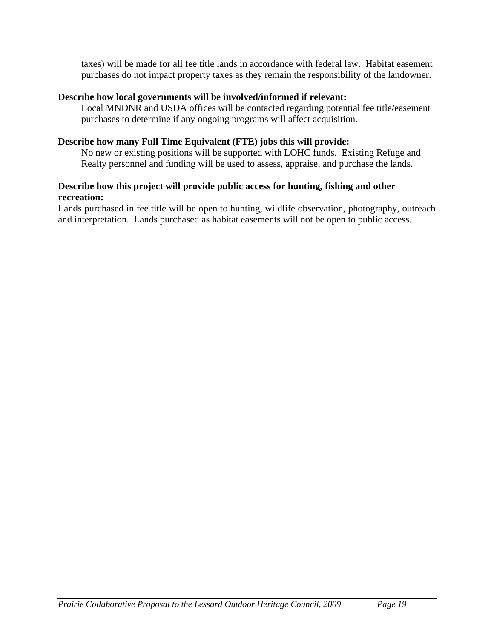taxes) will be made for all fee title lands in accordance with federal law. Habitat easement purchases do not impact property taxes as they remain the responsibility of the landowner.

### **Describe how local governments will be involved/informed if relevant:**

Local MNDNR and USDA offices will be contacted regarding potential fee title/easement purchases to determine if any ongoing programs will affect acquisition.

### **Describe how many Full Time Equivalent (FTE) jobs this will provide:**

No new or existing positions will be supported with LOHC funds. Existing Refuge and Realty personnel and funding will be used to assess, appraise, and purchase the lands.

### **Describe how this project will provide public access for hunting, fishing and other recreation:**

Lands purchased in fee title will be open to hunting, wildlife observation, photography, outreach and interpretation. Lands purchased as habitat easements will not be open to public access.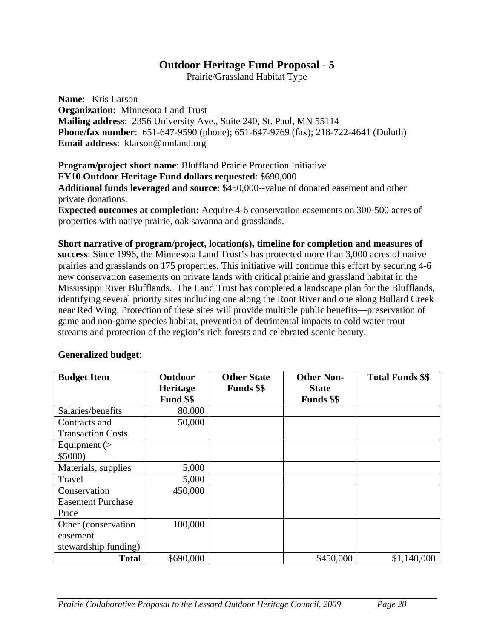Prairie/Grassland Habitat Type

**Name**: Kris Larson **Organization**: Minnesota Land Trust **Mailing address**: 2356 University Ave., Suite 240, St. Paul, MN 55114 **Phone/fax number**: 651-647-9590 (phone); 651-647-9769 (fax); 218-722-4641 (Duluth) **Email address**: klarson@mnland.org

**Program/project short name**: Bluffland Prairie Protection Initiative **FY10 Outdoor Heritage Fund dollars requested**: \$690,000

**Additional funds leveraged and source**: \$450,000--value of donated easement and other private donations.

**Expected outcomes at completion:** Acquire 4-6 conservation easements on 300-500 acres of properties with native prairie, oak savanna and grasslands.

**Short narrative of program/project, location(s), timeline for completion and measures of success**: Since 1996, the Minnesota Land Trust's has protected more than 3,000 acres of native prairies and grasslands on 175 properties. This initiative will continue this effort by securing 4-6 new conservation easements on private lands with critical prairie and grassland habitat in the Mississippi River Blufflands. The Land Trust has completed a landscape plan for the Blufflands, identifying several priority sites including one along the Root River and one along Bullard Creek near Red Wing. Protection of these sites will provide multiple public benefits—preservation of game and non-game species habitat, prevention of detrimental impacts to cold water trout streams and protection of the region's rich forests and celebrated scenic beauty.

| <b>Budget Item</b>       | <b>Outdoor</b><br>Heritage<br>Fund \$\$ | <b>Other State</b><br><b>Funds</b> \$\$ | <b>Other Non-</b><br><b>State</b><br><b>Funds</b> \$\$ | <b>Total Funds \$\$</b> |
|--------------------------|-----------------------------------------|-----------------------------------------|--------------------------------------------------------|-------------------------|
| Salaries/benefits        | 80,000                                  |                                         |                                                        |                         |
| Contracts and            | 50,000                                  |                                         |                                                        |                         |
| <b>Transaction Costs</b> |                                         |                                         |                                                        |                         |
| Equipment $($            |                                         |                                         |                                                        |                         |
| \$5000                   |                                         |                                         |                                                        |                         |
| Materials, supplies      | 5,000                                   |                                         |                                                        |                         |
| Travel                   | 5,000                                   |                                         |                                                        |                         |
| Conservation             | 450,000                                 |                                         |                                                        |                         |
| <b>Easement Purchase</b> |                                         |                                         |                                                        |                         |
| Price                    |                                         |                                         |                                                        |                         |
| Other (conservation)     | 100,000                                 |                                         |                                                        |                         |
| easement                 |                                         |                                         |                                                        |                         |
| stewardship funding)     |                                         |                                         |                                                        |                         |
| <b>Total</b>             | \$690,000                               |                                         | \$450,000                                              | \$1,140,000             |

### **Generalized budget**: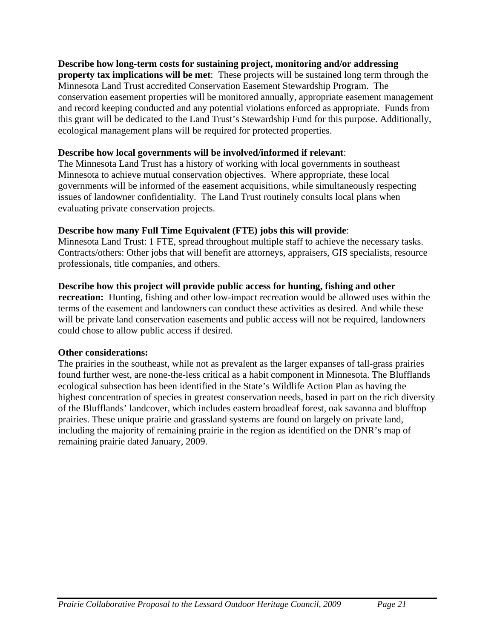### **Describe how long-term costs for sustaining project, monitoring and/or addressing**

**property tax implications will be met**: These projects will be sustained long term through the Minnesota Land Trust accredited Conservation Easement Stewardship Program. The conservation easement properties will be monitored annually, appropriate easement management and record keeping conducted and any potential violations enforced as appropriate. Funds from this grant will be dedicated to the Land Trust's Stewardship Fund for this purpose. Additionally, ecological management plans will be required for protected properties.

### **Describe how local governments will be involved/informed if relevant**:

The Minnesota Land Trust has a history of working with local governments in southeast Minnesota to achieve mutual conservation objectives. Where appropriate, these local governments will be informed of the easement acquisitions, while simultaneously respecting issues of landowner confidentiality. The Land Trust routinely consults local plans when evaluating private conservation projects.

### **Describe how many Full Time Equivalent (FTE) jobs this will provide**:

Minnesota Land Trust: 1 FTE, spread throughout multiple staff to achieve the necessary tasks. Contracts/others: Other jobs that will benefit are attorneys, appraisers, GIS specialists, resource professionals, title companies, and others.

### **Describe how this project will provide public access for hunting, fishing and other**

**recreation:** Hunting, fishing and other low-impact recreation would be allowed uses within the terms of the easement and landowners can conduct these activities as desired. And while these will be private land conservation easements and public access will not be required, landowners could chose to allow public access if desired.

### **Other considerations:**

The prairies in the southeast, while not as prevalent as the larger expanses of tall-grass prairies found further west, are none-the-less critical as a habit component in Minnesota. The Blufflands ecological subsection has been identified in the State's Wildlife Action Plan as having the highest concentration of species in greatest conservation needs, based in part on the rich diversity of the Blufflands' landcover, which includes eastern broadleaf forest, oak savanna and blufftop prairies. These unique prairie and grassland systems are found on largely on private land, including the majority of remaining prairie in the region as identified on the DNR's map of remaining prairie dated January, 2009.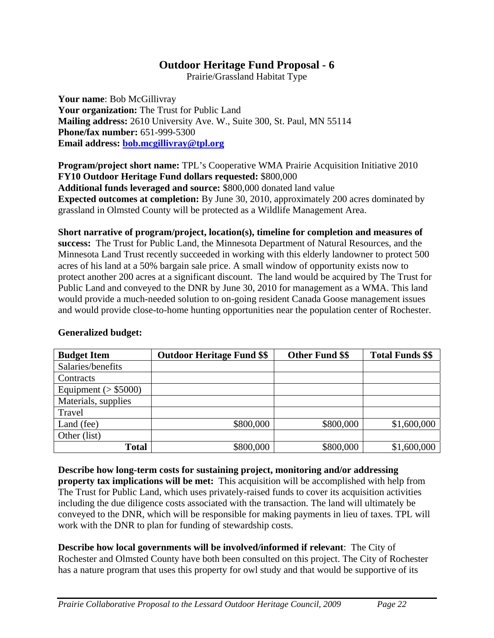Prairie/Grassland Habitat Type

**Your name**: Bob McGillivray **Your organization:** The Trust for Public Land **Mailing address:** 2610 University Ave. W., Suite 300, St. Paul, MN 55114 **Phone/fax number:** 651-999-5300 **Email address: bob.mcgillivray@tpl.org**

**Program/project short name:** TPL's Cooperative WMA Prairie Acquisition Initiative 2010 **FY10 Outdoor Heritage Fund dollars requested:** \$800,000 **Additional funds leveraged and source:** \$800,000 donated land value **Expected outcomes at completion:** By June 30, 2010, approximately 200 acres dominated by grassland in Olmsted County will be protected as a Wildlife Management Area.

**Short narrative of program/project, location(s), timeline for completion and measures of success:** The Trust for Public Land, the Minnesota Department of Natural Resources, and the Minnesota Land Trust recently succeeded in working with this elderly landowner to protect 500 acres of his land at a 50% bargain sale price. A small window of opportunity exists now to protect another 200 acres at a significant discount. The land would be acquired by The Trust for Public Land and conveyed to the DNR by June 30, 2010 for management as a WMA. This land would provide a much-needed solution to on-going resident Canada Goose management issues and would provide close-to-home hunting opportunities near the population center of Rochester.

| <b>Budget Item</b>      | <b>Outdoor Heritage Fund \$\$</b> | <b>Other Fund \$\$</b> | <b>Total Funds \$\$</b> |
|-------------------------|-----------------------------------|------------------------|-------------------------|
| Salaries/benefits       |                                   |                        |                         |
| Contracts               |                                   |                        |                         |
| Equipment ( $>$ \$5000) |                                   |                        |                         |
| Materials, supplies     |                                   |                        |                         |
| Travel                  |                                   |                        |                         |
| Land (fee)              | \$800,000                         | \$800,000              | \$1,600,000             |
| Other (list)            |                                   |                        |                         |
| <b>Total</b>            | \$800,000                         | \$800,000              | \$1,600,000             |

# **Generalized budget:**

**Describe how long-term costs for sustaining project, monitoring and/or addressing property tax implications will be met:** This acquisition will be accomplished with help from The Trust for Public Land, which uses privately-raised funds to cover its acquisition activities including the due diligence costs associated with the transaction. The land will ultimately be conveyed to the DNR, which will be responsible for making payments in lieu of taxes. TPL will work with the DNR to plan for funding of stewardship costs.

**Describe how local governments will be involved/informed if relevant**: The City of Rochester and Olmsted County have both been consulted on this project. The City of Rochester has a nature program that uses this property for owl study and that would be supportive of its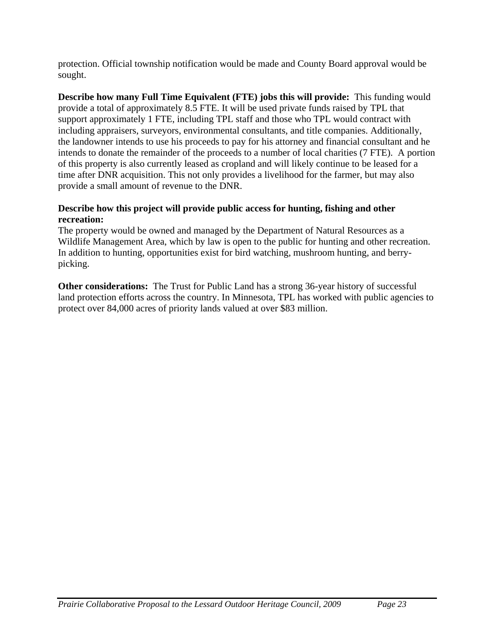protection. Official township notification would be made and County Board approval would be sought.

**Describe how many Full Time Equivalent (FTE) jobs this will provide:** This funding would provide a total of approximately 8.5 FTE. It will be used private funds raised by TPL that support approximately 1 FTE, including TPL staff and those who TPL would contract with including appraisers, surveyors, environmental consultants, and title companies. Additionally, the landowner intends to use his proceeds to pay for his attorney and financial consultant and he intends to donate the remainder of the proceeds to a number of local charities (7 FTE). A portion of this property is also currently leased as cropland and will likely continue to be leased for a time after DNR acquisition. This not only provides a livelihood for the farmer, but may also provide a small amount of revenue to the DNR.

# **Describe how this project will provide public access for hunting, fishing and other recreation:**

The property would be owned and managed by the Department of Natural Resources as a Wildlife Management Area, which by law is open to the public for hunting and other recreation. In addition to hunting, opportunities exist for bird watching, mushroom hunting, and berrypicking.

**Other considerations:** The Trust for Public Land has a strong 36-year history of successful land protection efforts across the country. In Minnesota, TPL has worked with public agencies to protect over 84,000 acres of priority lands valued at over \$83 million.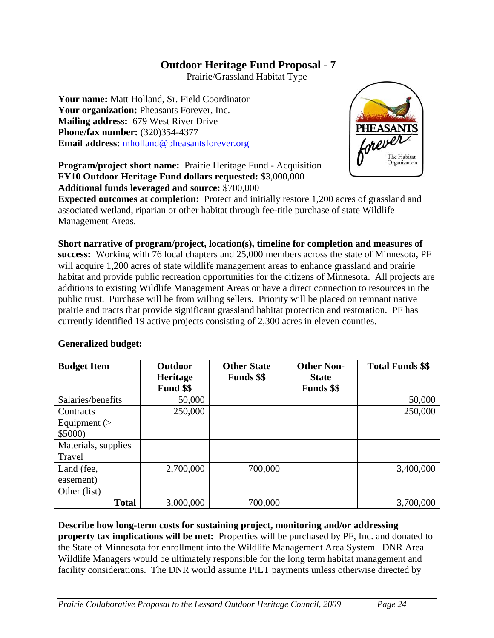Prairie/Grassland Habitat Type

**Your name:** Matt Holland, Sr. Field Coordinator **Your organization:** Pheasants Forever, Inc. **Mailing address:** 679 West River Drive **Phone/fax number:** (320)354-4377 **Email address:** mholland@pheasantsforever.org



**Program/project short name:** Prairie Heritage Fund - Acquisition **FY10 Outdoor Heritage Fund dollars requested:** \$3,000,000 **Additional funds leveraged and source:** \$700,000

**Expected outcomes at completion:** Protect and initially restore 1,200 acres of grassland and associated wetland, riparian or other habitat through fee-title purchase of state Wildlife Management Areas.

**Short narrative of program/project, location(s), timeline for completion and measures of success:** Working with 76 local chapters and 25,000 members across the state of Minnesota, PF will acquire 1,200 acres of state wildlife management areas to enhance grassland and prairie habitat and provide public recreation opportunities for the citizens of Minnesota. All projects are additions to existing Wildlife Management Areas or have a direct connection to resources in the public trust. Purchase will be from willing sellers. Priority will be placed on remnant native prairie and tracts that provide significant grassland habitat protection and restoration. PF has currently identified 19 active projects consisting of 2,300 acres in eleven counties.

# **Generalized budget:**

| <b>Budget Item</b>  | Outdoor         | <b>Other State</b> | <b>Other Non-</b> | <b>Total Funds \$\$</b> |
|---------------------|-----------------|--------------------|-------------------|-------------------------|
|                     | <b>Heritage</b> | <b>Funds</b> \$\$  | <b>State</b>      |                         |
|                     | Fund \$\$       |                    | <b>Funds</b> \$\$ |                         |
| Salaries/benefits   | 50,000          |                    |                   | 50,000                  |
| Contracts           | 250,000         |                    |                   | 250,000                 |
| Equipment $($       |                 |                    |                   |                         |
| \$5000              |                 |                    |                   |                         |
| Materials, supplies |                 |                    |                   |                         |
| Travel              |                 |                    |                   |                         |
| Land (fee,          | 2,700,000       | 700,000            |                   | 3,400,000               |
| easement)           |                 |                    |                   |                         |
| Other (list)        |                 |                    |                   |                         |
| <b>Total</b>        | 3,000,000       | 700,000            |                   | 3,700,000               |

**Describe how long-term costs for sustaining project, monitoring and/or addressing property tax implications will be met:** Properties will be purchased by PF, Inc. and donated to the State of Minnesota for enrollment into the Wildlife Management Area System. DNR Area Wildlife Managers would be ultimately responsible for the long term habitat management and facility considerations. The DNR would assume PILT payments unless otherwise directed by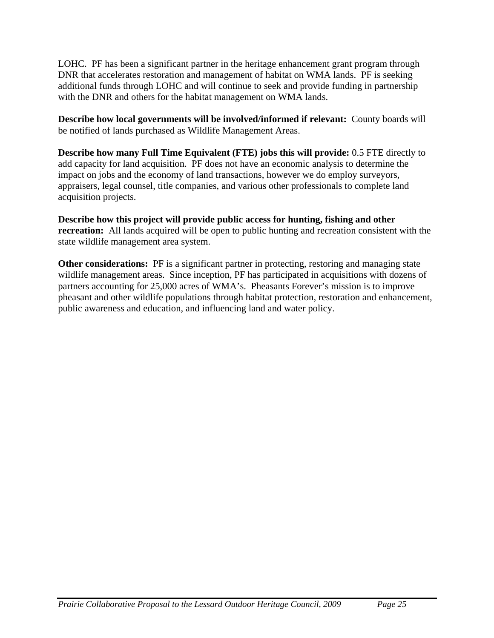LOHC. PF has been a significant partner in the heritage enhancement grant program through DNR that accelerates restoration and management of habitat on WMA lands. PF is seeking additional funds through LOHC and will continue to seek and provide funding in partnership with the DNR and others for the habitat management on WMA lands.

**Describe how local governments will be involved/informed if relevant:** County boards will be notified of lands purchased as Wildlife Management Areas.

**Describe how many Full Time Equivalent (FTE) jobs this will provide:** 0.5 FTE directly to add capacity for land acquisition. PF does not have an economic analysis to determine the impact on jobs and the economy of land transactions, however we do employ surveyors, appraisers, legal counsel, title companies, and various other professionals to complete land acquisition projects.

**Describe how this project will provide public access for hunting, fishing and other recreation:** All lands acquired will be open to public hunting and recreation consistent with the state wildlife management area system.

**Other considerations:** PF is a significant partner in protecting, restoring and managing state wildlife management areas. Since inception, PF has participated in acquisitions with dozens of partners accounting for 25,000 acres of WMA's. Pheasants Forever's mission is to improve pheasant and other wildlife populations through habitat protection, restoration and enhancement, public awareness and education, and influencing land and water policy.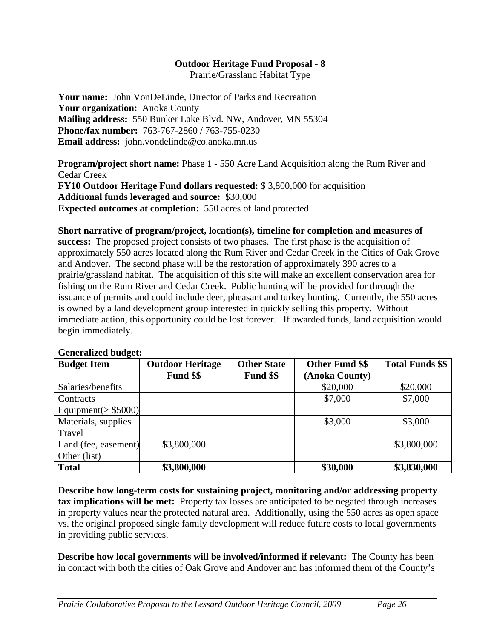Prairie/Grassland Habitat Type

**Your name:** John VonDeLinde, Director of Parks and Recreation **Your organization:** Anoka County **Mailing address:** 550 Bunker Lake Blvd. NW, Andover, MN 55304 **Phone/fax number:** 763-767-2860 / 763-755-0230 **Email address:** john.vondelinde@co.anoka.mn.us

**Program/project short name:** Phase 1 - 550 Acre Land Acquisition along the Rum River and Cedar Creek **FY10 Outdoor Heritage Fund dollars requested:** \$ 3,800,000 for acquisition

**Additional funds leveraged and source:** \$30,000

**Expected outcomes at completion:** 550 acres of land protected.

**Short narrative of program/project, location(s), timeline for completion and measures of success:** The proposed project consists of two phases. The first phase is the acquisition of approximately 550 acres located along the Rum River and Cedar Creek in the Cities of Oak Grove and Andover. The second phase will be the restoration of approximately 390 acres to a prairie/grassland habitat. The acquisition of this site will make an excellent conservation area for fishing on the Rum River and Cedar Creek. Public hunting will be provided for through the issuance of permits and could include deer, pheasant and turkey hunting. Currently, the 550 acres is owned by a land development group interested in quickly selling this property. Without immediate action, this opportunity could be lost forever. If awarded funds, land acquisition would begin immediately.

| <b>Budget Item</b>     | <b>Outdoor Heritage</b> | <b>Other State</b> | <b>Other Fund \$\$</b> | <b>Total Funds \$\$</b> |
|------------------------|-------------------------|--------------------|------------------------|-------------------------|
|                        | Fund \$\$               | Fund \$\$          | (Anoka County)         |                         |
| Salaries/benefits      |                         |                    | \$20,000               | \$20,000                |
| Contracts              |                         |                    | \$7,000                | \$7,000                 |
| Equipment( $>$ \$5000) |                         |                    |                        |                         |
| Materials, supplies    |                         |                    | \$3,000                | \$3,000                 |
| Travel                 |                         |                    |                        |                         |
| Land (fee, easement)   | \$3,800,000             |                    |                        | \$3,800,000             |
| Other (list)           |                         |                    |                        |                         |
| <b>Total</b>           | \$3,800,000             |                    | \$30,000               | \$3,830,000             |

### **Generalized budget:**

**Describe how long-term costs for sustaining project, monitoring and/or addressing property tax implications will be met:** Property tax losses are anticipated to be negated through increases in property values near the protected natural area. Additionally, using the 550 acres as open space vs. the original proposed single family development will reduce future costs to local governments in providing public services.

**Describe how local governments will be involved/informed if relevant:** The County has been in contact with both the cities of Oak Grove and Andover and has informed them of the County's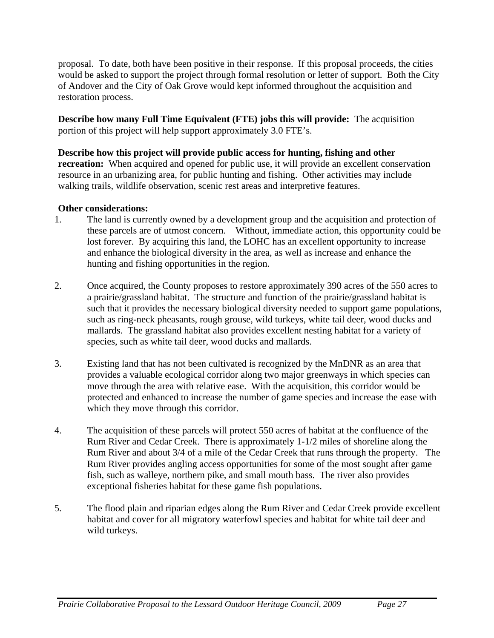proposal. To date, both have been positive in their response. If this proposal proceeds, the cities would be asked to support the project through formal resolution or letter of support. Both the City of Andover and the City of Oak Grove would kept informed throughout the acquisition and restoration process.

**Describe how many Full Time Equivalent (FTE) jobs this will provide:** The acquisition portion of this project will help support approximately 3.0 FTE's.

### **Describe how this project will provide public access for hunting, fishing and other**

**recreation:** When acquired and opened for public use, it will provide an excellent conservation resource in an urbanizing area, for public hunting and fishing. Other activities may include walking trails, wildlife observation, scenic rest areas and interpretive features.

### **Other considerations:**

- 1. The land is currently owned by a development group and the acquisition and protection of these parcels are of utmost concern. Without, immediate action, this opportunity could be lost forever. By acquiring this land, the LOHC has an excellent opportunity to increase and enhance the biological diversity in the area, as well as increase and enhance the hunting and fishing opportunities in the region.
- 2. Once acquired, the County proposes to restore approximately 390 acres of the 550 acres to a prairie/grassland habitat. The structure and function of the prairie/grassland habitat is such that it provides the necessary biological diversity needed to support game populations, such as ring-neck pheasants, rough grouse, wild turkeys, white tail deer, wood ducks and mallards. The grassland habitat also provides excellent nesting habitat for a variety of species, such as white tail deer, wood ducks and mallards.
- 3. Existing land that has not been cultivated is recognized by the MnDNR as an area that provides a valuable ecological corridor along two major greenways in which species can move through the area with relative ease. With the acquisition, this corridor would be protected and enhanced to increase the number of game species and increase the ease with which they move through this corridor.
- 4. The acquisition of these parcels will protect 550 acres of habitat at the confluence of the Rum River and Cedar Creek. There is approximately 1-1/2 miles of shoreline along the Rum River and about 3/4 of a mile of the Cedar Creek that runs through the property. The Rum River provides angling access opportunities for some of the most sought after game fish, such as walleye, northern pike, and small mouth bass. The river also provides exceptional fisheries habitat for these game fish populations.
- 5. The flood plain and riparian edges along the Rum River and Cedar Creek provide excellent habitat and cover for all migratory waterfowl species and habitat for white tail deer and wild turkeys.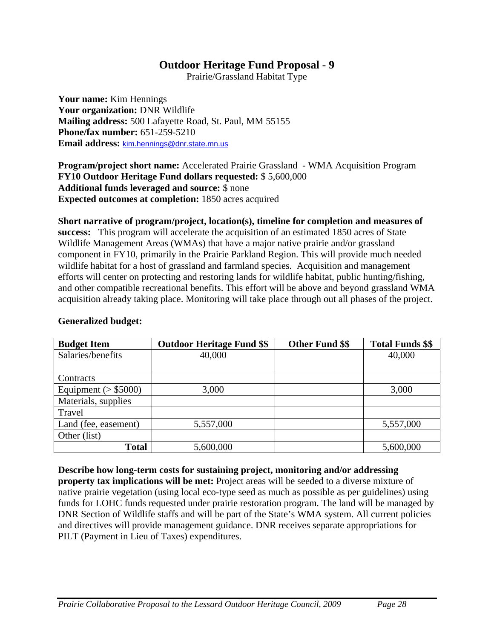Prairie/Grassland Habitat Type

**Your name:** Kim Hennings **Your organization:** DNR Wildlife **Mailing address:** 500 Lafayette Road, St. Paul, MM 55155 **Phone/fax number:** 651-259-5210 **Email address:** kim.hennings@dnr.state.mn.us

**Program/project short name:** Accelerated Prairie Grassland - WMA Acquisition Program **FY10 Outdoor Heritage Fund dollars requested:** \$ 5,600,000 **Additional funds leveraged and source:** \$ none **Expected outcomes at completion:** 1850 acres acquired

**Short narrative of program/project, location(s), timeline for completion and measures of success:** This program will accelerate the acquisition of an estimated 1850 acres of State Wildlife Management Areas (WMAs) that have a major native prairie and/or grassland component in FY10, primarily in the Prairie Parkland Region. This will provide much needed wildlife habitat for a host of grassland and farmland species. Acquisition and management efforts will center on protecting and restoring lands for wildlife habitat, public hunting/fishing, and other compatible recreational benefits. This effort will be above and beyond grassland WMA acquisition already taking place. Monitoring will take place through out all phases of the project.

| <b>Budget Item</b>      | <b>Outdoor Heritage Fund \$\$</b> | <b>Other Fund \$\$</b> | <b>Total Funds \$\$</b> |
|-------------------------|-----------------------------------|------------------------|-------------------------|
| Salaries/benefits       | 40,000                            |                        | 40,000                  |
|                         |                                   |                        |                         |
| Contracts               |                                   |                        |                         |
| Equipment ( $>$ \$5000) | 3,000                             |                        | 3,000                   |
| Materials, supplies     |                                   |                        |                         |
| Travel                  |                                   |                        |                         |
| Land (fee, easement)    | 5,557,000                         |                        | 5,557,000               |
| Other (list)            |                                   |                        |                         |
| <b>Total</b>            | 5,600,000                         |                        | 5,600,000               |

### **Generalized budget:**

**Describe how long-term costs for sustaining project, monitoring and/or addressing property tax implications will be met:** Project areas will be seeded to a diverse mixture of native prairie vegetation (using local eco-type seed as much as possible as per guidelines) using funds for LOHC funds requested under prairie restoration program. The land will be managed by DNR Section of Wildlife staffs and will be part of the State's WMA system. All current policies and directives will provide management guidance. DNR receives separate appropriations for PILT (Payment in Lieu of Taxes) expenditures.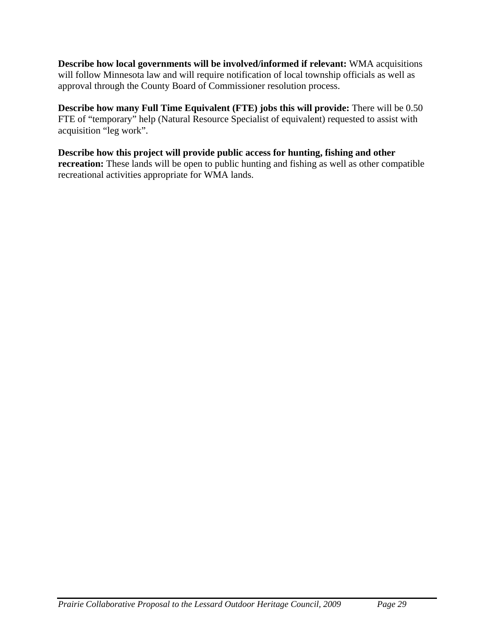**Describe how local governments will be involved/informed if relevant:** WMA acquisitions will follow Minnesota law and will require notification of local township officials as well as approval through the County Board of Commissioner resolution process.

**Describe how many Full Time Equivalent (FTE) jobs this will provide:** There will be 0.50 FTE of "temporary" help (Natural Resource Specialist of equivalent) requested to assist with acquisition "leg work".

**Describe how this project will provide public access for hunting, fishing and other recreation:** These lands will be open to public hunting and fishing as well as other compatible recreational activities appropriate for WMA lands.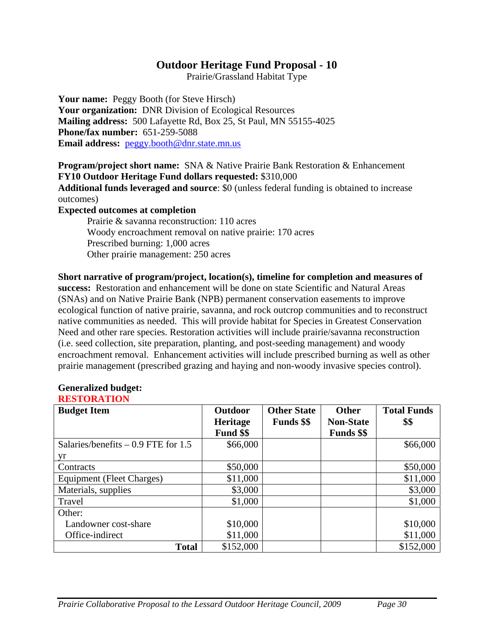Prairie/Grassland Habitat Type

Your name: Peggy Booth (for Steve Hirsch) **Your organization:** DNR Division of Ecological Resources **Mailing address:** 500 Lafayette Rd, Box 25, St Paul, MN 55155-4025 **Phone/fax number:** 651-259-5088 **Email address:** peggy.booth@dnr.state.mn.us

**Program/project short name:** SNA & Native Prairie Bank Restoration & Enhancement **FY10 Outdoor Heritage Fund dollars requested:** \$310,000 **Additional funds leveraged and source**: \$0 (unless federal funding is obtained to increase outcomes)

**Expected outcomes at completion** 

Prairie & savanna reconstruction: 110 acres Woody encroachment removal on native prairie: 170 acres Prescribed burning: 1,000 acres Other prairie management: 250 acres

**Short narrative of program/project, location(s), timeline for completion and measures of success:** Restoration and enhancement will be done on state Scientific and Natural Areas (SNAs) and on Native Prairie Bank (NPB) permanent conservation easements to improve ecological function of native prairie, savanna, and rock outcrop communities and to reconstruct native communities as needed. This will provide habitat for Species in Greatest Conservation Need and other rare species. Restoration activities will include prairie/savanna reconstruction (i.e. seed collection, site preparation, planting, and post-seeding management) and woody encroachment removal. Enhancement activities will include prescribed burning as well as other prairie management (prescribed grazing and haying and non-woody invasive species control).

| <b>Budget Item</b>                   | Outdoor         | <b>Other State</b> | <b>Other</b>      | <b>Total Funds</b> |
|--------------------------------------|-----------------|--------------------|-------------------|--------------------|
|                                      | <b>Heritage</b> | <b>Funds</b> \$\$  | <b>Non-State</b>  | \$\$               |
|                                      | Fund \$\$       |                    | <b>Funds</b> \$\$ |                    |
| Salaries/benefits $-0.9$ FTE for 1.5 | \$66,000        |                    |                   | \$66,000           |
| yr                                   |                 |                    |                   |                    |
| Contracts                            | \$50,000        |                    |                   | \$50,000           |
| Equipment (Fleet Charges)            | \$11,000        |                    |                   | \$11,000           |
| Materials, supplies                  | \$3,000         |                    |                   | \$3,000            |
| Travel                               | \$1,000         |                    |                   | \$1,000            |
| Other:                               |                 |                    |                   |                    |
| Landowner cost-share                 | \$10,000        |                    |                   | \$10,000           |
| Office-indirect                      | \$11,000        |                    |                   | \$11,000           |
| <b>Total</b>                         | \$152,000       |                    |                   | \$152,000          |

#### **Generalized budget: RESTORATION**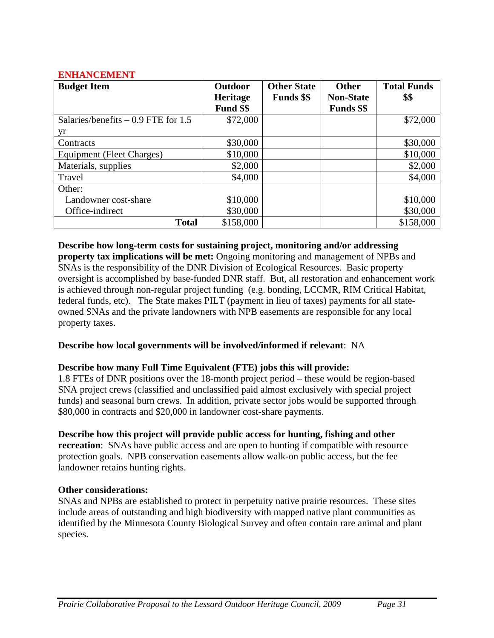### **ENHANCEMENT**

| <b>Budget Item</b>                   | Outdoor         | <b>Other State</b> | <b>Other</b>      | <b>Total Funds</b> |
|--------------------------------------|-----------------|--------------------|-------------------|--------------------|
|                                      | <b>Heritage</b> | <b>Funds</b> \$\$  | <b>Non-State</b>  | \$\$               |
|                                      | Fund \$\$       |                    | <b>Funds</b> \$\$ |                    |
| Salaries/benefits $-0.9$ FTE for 1.5 | \$72,000        |                    |                   | \$72,000           |
| yr                                   |                 |                    |                   |                    |
| Contracts                            | \$30,000        |                    |                   | \$30,000           |
| Equipment (Fleet Charges)            | \$10,000        |                    |                   | \$10,000           |
| Materials, supplies                  | \$2,000         |                    |                   | \$2,000            |
| Travel                               | \$4,000         |                    |                   | \$4,000            |
| Other:                               |                 |                    |                   |                    |
| Landowner cost-share                 | \$10,000        |                    |                   | \$10,000           |
| Office-indirect                      | \$30,000        |                    |                   | \$30,000           |
| <b>Total</b>                         | \$158,000       |                    |                   | \$158,000          |

**Describe how long-term costs for sustaining project, monitoring and/or addressing property tax implications will be met:** Ongoing monitoring and management of NPBs and SNAs is the responsibility of the DNR Division of Ecological Resources. Basic property oversight is accomplished by base-funded DNR staff. But, all restoration and enhancement work is achieved through non-regular project funding (e.g. bonding, LCCMR, RIM Critical Habitat, federal funds, etc). The State makes PILT (payment in lieu of taxes) payments for all stateowned SNAs and the private landowners with NPB easements are responsible for any local property taxes.

### **Describe how local governments will be involved/informed if relevant**: NA

### **Describe how many Full Time Equivalent (FTE) jobs this will provide:**

1.8 FTEs of DNR positions over the 18-month project period – these would be region-based SNA project crews (classified and unclassified paid almost exclusively with special project funds) and seasonal burn crews. In addition, private sector jobs would be supported through \$80,000 in contracts and \$20,000 in landowner cost-share payments.

# **Describe how this project will provide public access for hunting, fishing and other**

**recreation**: SNAs have public access and are open to hunting if compatible with resource protection goals. NPB conservation easements allow walk-on public access, but the fee landowner retains hunting rights.

### **Other considerations:**

SNAs and NPBs are established to protect in perpetuity native prairie resources. These sites include areas of outstanding and high biodiversity with mapped native plant communities as identified by the Minnesota County Biological Survey and often contain rare animal and plant species.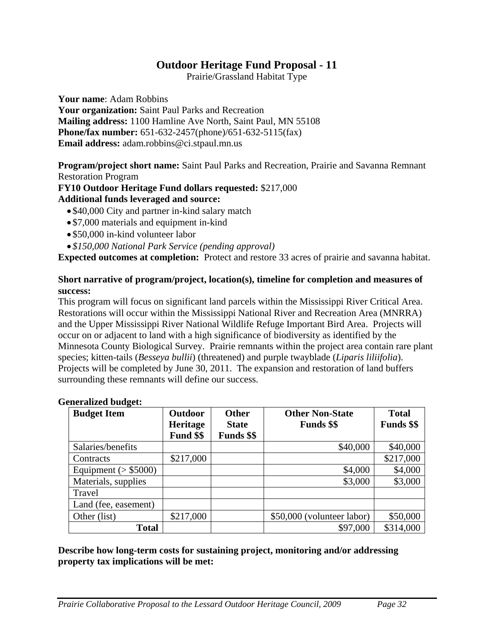Prairie/Grassland Habitat Type

**Your name**: Adam Robbins

**Your organization:** Saint Paul Parks and Recreation **Mailing address:** 1100 Hamline Ave North, Saint Paul, MN 55108 **Phone/fax number:** 651-632-2457(phone)/651-632-5115(fax) **Email address:** adam.robbins@ci.stpaul.mn.us

**Program/project short name:** Saint Paul Parks and Recreation, Prairie and Savanna Remnant Restoration Program

### **FY10 Outdoor Heritage Fund dollars requested:** \$217,000 **Additional funds leveraged and source:**

- \$40,000 City and partner in-kind salary match
- \$7,000 materials and equipment in-kind
- \$50,000 in-kind volunteer labor
- *\$150,000 National Park Service (pending approval)*

**Expected outcomes at completion:** Protect and restore 33 acres of prairie and savanna habitat.

### **Short narrative of program/project, location(s), timeline for completion and measures of success:**

This program will focus on significant land parcels within the Mississippi River Critical Area. Restorations will occur within the Mississippi National River and Recreation Area (MNRRA) and the Upper Mississippi River National Wildlife Refuge Important Bird Area. Projects will occur on or adjacent to land with a high significance of biodiversity as identified by the Minnesota County Biological Survey. Prairie remnants within the project area contain rare plant species; kitten-tails (*Besseya bullii*) (threatened) and purple twayblade (*Liparis liliifolia*). Projects will be completed by June 30, 2011. The expansion and restoration of land buffers surrounding these remnants will define our success.

| <b>Budget Item</b>      | <b>Outdoor</b>  | <b>Other</b>      | <b>Other Non-State</b>     | <b>Total</b>      |
|-------------------------|-----------------|-------------------|----------------------------|-------------------|
|                         | <b>Heritage</b> | <b>State</b>      | <b>Funds</b> \$\$          | <b>Funds \$\$</b> |
|                         | Fund \$\$       | <b>Funds</b> \$\$ |                            |                   |
| Salaries/benefits       |                 |                   | \$40,000                   | \$40,000          |
| Contracts               | \$217,000       |                   |                            | \$217,000         |
| Equipment $($ > \$5000) |                 |                   | \$4,000                    | \$4,000           |
| Materials, supplies     |                 |                   | \$3,000                    | \$3,000           |
| Travel                  |                 |                   |                            |                   |
| Land (fee, easement)    |                 |                   |                            |                   |
| Other (list)            | \$217,000       |                   | \$50,000 (volunteer labor) | \$50,000          |
| <b>Total</b>            |                 |                   | \$97,000                   | \$314,000         |

### **Generalized budget:**

### **Describe how long-term costs for sustaining project, monitoring and/or addressing property tax implications will be met:**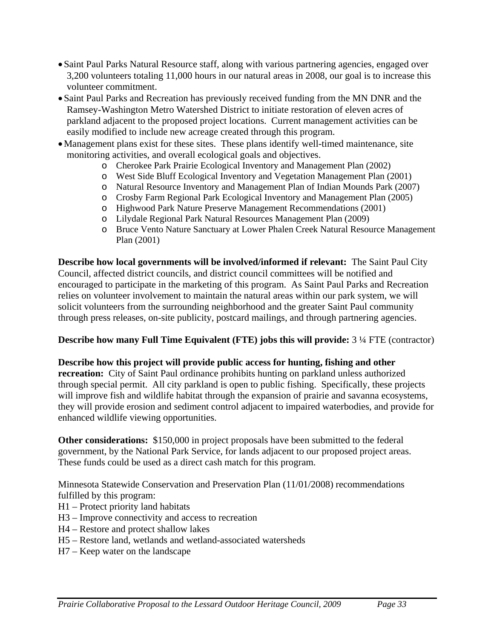- Saint Paul Parks Natural Resource staff, along with various partnering agencies, engaged over 3,200 volunteers totaling 11,000 hours in our natural areas in 2008, our goal is to increase this volunteer commitment.
- Saint Paul Parks and Recreation has previously received funding from the MN DNR and the Ramsey-Washington Metro Watershed District to initiate restoration of eleven acres of parkland adjacent to the proposed project locations. Current management activities can be easily modified to include new acreage created through this program.
- Management plans exist for these sites. These plans identify well-timed maintenance, site monitoring activities, and overall ecological goals and objectives.
	- o Cherokee Park Prairie Ecological Inventory and Management Plan (2002)
	- o West Side Bluff Ecological Inventory and Vegetation Management Plan (2001)
	- o Natural Resource Inventory and Management Plan of Indian Mounds Park (2007)
	- o Crosby Farm Regional Park Ecological Inventory and Management Plan (2005)
	- o Highwood Park Nature Preserve Management Recommendations (2001)
	- o Lilydale Regional Park Natural Resources Management Plan (2009)
	- o Bruce Vento Nature Sanctuary at Lower Phalen Creek Natural Resource Management Plan (2001)

**Describe how local governments will be involved/informed if relevant:** The Saint Paul City Council, affected district councils, and district council committees will be notified and encouraged to participate in the marketing of this program. As Saint Paul Parks and Recreation relies on volunteer involvement to maintain the natural areas within our park system, we will solicit volunteers from the surrounding neighborhood and the greater Saint Paul community through press releases, on-site publicity, postcard mailings, and through partnering agencies.

# **Describe how many Full Time Equivalent (FTE) jobs this will provide:** 3 ¼ FTE (contractor)

**Describe how this project will provide public access for hunting, fishing and other recreation:** City of Saint Paul ordinance prohibits hunting on parkland unless authorized through special permit. All city parkland is open to public fishing. Specifically, these projects will improve fish and wildlife habitat through the expansion of prairie and savanna ecosystems, they will provide erosion and sediment control adjacent to impaired waterbodies, and provide for enhanced wildlife viewing opportunities.

**Other considerations:** \$150,000 in project proposals have been submitted to the federal government, by the National Park Service, for lands adjacent to our proposed project areas. These funds could be used as a direct cash match for this program.

Minnesota Statewide Conservation and Preservation Plan (11/01/2008) recommendations fulfilled by this program:

- H1 Protect priority land habitats
- H3 Improve connectivity and access to recreation
- H4 Restore and protect shallow lakes
- H5 Restore land, wetlands and wetland-associated watersheds
- H7 Keep water on the landscape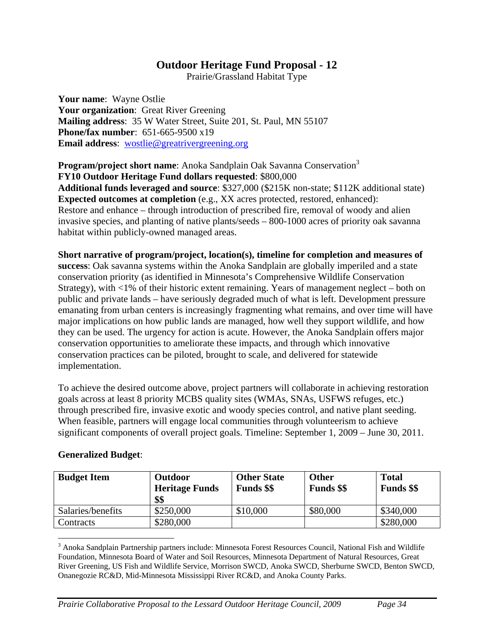Prairie/Grassland Habitat Type

**Your name**: Wayne Ostlie **Your organization**: Great River Greening **Mailing address**: 35 W Water Street, Suite 201, St. Paul, MN 55107 **Phone/fax number**: 651-665-9500 x19 **Email address**: wostlie@greatrivergreening.org

**Program/project short name:** Anoka Sandplain Oak Savanna Conservation<sup>3</sup> **FY10 Outdoor Heritage Fund dollars requested**: \$800,000 **Additional funds leveraged and source**: \$327,000 (\$215K non-state; \$112K additional state) **Expected outcomes at completion** (e.g., XX acres protected, restored, enhanced): Restore and enhance – through introduction of prescribed fire, removal of woody and alien invasive species, and planting of native plants/seeds – 800-1000 acres of priority oak savanna habitat within publicly-owned managed areas.

**Short narrative of program/project, location(s), timeline for completion and measures of success**: Oak savanna systems within the Anoka Sandplain are globally imperiled and a state conservation priority (as identified in Minnesota's Comprehensive Wildlife Conservation Strategy), with <1% of their historic extent remaining. Years of management neglect – both on public and private lands – have seriously degraded much of what is left. Development pressure emanating from urban centers is increasingly fragmenting what remains, and over time will have major implications on how public lands are managed, how well they support wildlife, and how they can be used. The urgency for action is acute. However, the Anoka Sandplain offers major conservation opportunities to ameliorate these impacts, and through which innovative conservation practices can be piloted, brought to scale, and delivered for statewide implementation.

To achieve the desired outcome above, project partners will collaborate in achieving restoration goals across at least 8 priority MCBS quality sites (WMAs, SNAs, USFWS refuges, etc.) through prescribed fire, invasive exotic and woody species control, and native plant seeding. When feasible, partners will engage local communities through volunteerism to achieve significant components of overall project goals. Timeline: September 1, 2009 – June 30, 2011.

| <b>Budget Item</b> | <b>Outdoor</b><br><b>Heritage Funds</b><br>\$\$ | <b>Other State</b><br><b>Funds</b> \$\$ | <b>Other</b><br><b>Funds</b> \$\$ | <b>Total</b><br><b>Funds</b> \$\$ |
|--------------------|-------------------------------------------------|-----------------------------------------|-----------------------------------|-----------------------------------|
| Salaries/benefits  | \$250,000                                       | \$10,000                                | \$80,000                          | \$340,000                         |
| Contracts          | \$280,000                                       |                                         |                                   | \$280,000                         |

### **Generalized Budget**:

 $\overline{a}$ 

<sup>&</sup>lt;sup>3</sup> Anoka Sandplain Partnership partners include: Minnesota Forest Resources Council, National Fish and Wildlife Foundation, Minnesota Board of Water and Soil Resources, Minnesota Department of Natural Resources, Great River Greening, US Fish and Wildlife Service, Morrison SWCD, Anoka SWCD, Sherburne SWCD, Benton SWCD, Onanegozie RC&D, Mid-Minnesota Mississippi River RC&D, and Anoka County Parks.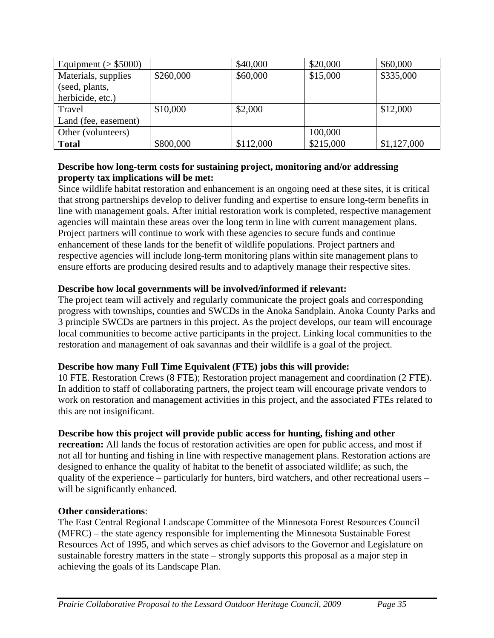| Equipment ( $>$ \$5000) |           | \$40,000  | \$20,000  | \$60,000    |
|-------------------------|-----------|-----------|-----------|-------------|
| Materials, supplies     | \$260,000 | \$60,000  | \$15,000  | \$335,000   |
| (seed, plants,          |           |           |           |             |
| herbicide, etc.)        |           |           |           |             |
| Travel                  | \$10,000  | \$2,000   |           | \$12,000    |
| Land (fee, easement)    |           |           |           |             |
| Other (volunteers)      |           |           | 100,000   |             |
| <b>Total</b>            | \$800,000 | \$112,000 | \$215,000 | \$1,127,000 |

# **Describe how long-term costs for sustaining project, monitoring and/or addressing property tax implications will be met:**

Since wildlife habitat restoration and enhancement is an ongoing need at these sites, it is critical that strong partnerships develop to deliver funding and expertise to ensure long-term benefits in line with management goals. After initial restoration work is completed, respective management agencies will maintain these areas over the long term in line with current management plans. Project partners will continue to work with these agencies to secure funds and continue enhancement of these lands for the benefit of wildlife populations. Project partners and respective agencies will include long-term monitoring plans within site management plans to ensure efforts are producing desired results and to adaptively manage their respective sites.

### **Describe how local governments will be involved/informed if relevant:**

The project team will actively and regularly communicate the project goals and corresponding progress with townships, counties and SWCDs in the Anoka Sandplain. Anoka County Parks and 3 principle SWCDs are partners in this project. As the project develops, our team will encourage local communities to become active participants in the project. Linking local communities to the restoration and management of oak savannas and their wildlife is a goal of the project.

# **Describe how many Full Time Equivalent (FTE) jobs this will provide:**

10 FTE. Restoration Crews (8 FTE); Restoration project management and coordination (2 FTE). In addition to staff of collaborating partners, the project team will encourage private vendors to work on restoration and management activities in this project, and the associated FTEs related to this are not insignificant.

# **Describe how this project will provide public access for hunting, fishing and other**

**recreation:** All lands the focus of restoration activities are open for public access, and most if not all for hunting and fishing in line with respective management plans. Restoration actions are designed to enhance the quality of habitat to the benefit of associated wildlife; as such, the quality of the experience – particularly for hunters, bird watchers, and other recreational users – will be significantly enhanced.

### **Other considerations**:

The East Central Regional Landscape Committee of the Minnesota Forest Resources Council (MFRC) – the state agency responsible for implementing the Minnesota Sustainable Forest Resources Act of 1995, and which serves as chief advisors to the Governor and Legislature on sustainable forestry matters in the state – strongly supports this proposal as a major step in achieving the goals of its Landscape Plan.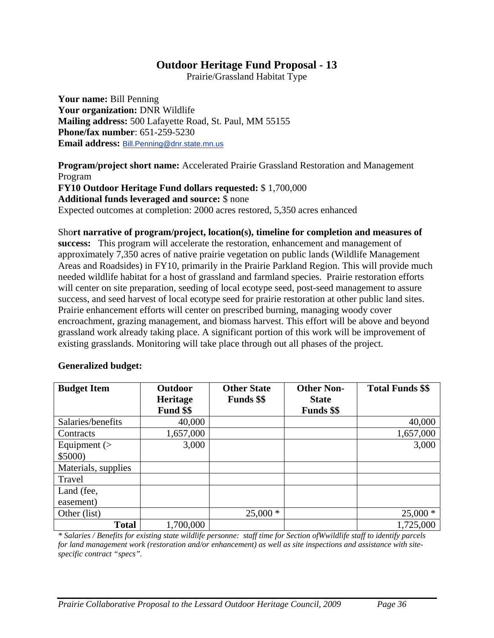Prairie/Grassland Habitat Type

**Your name:** Bill Penning **Your organization:** DNR Wildlife **Mailing address:** 500 Lafayette Road, St. Paul, MM 55155 **Phone/fax number**: 651-259-5230 **Email address:** Bill.Penning@dnr.state.mn.us

**Program/project short name:** Accelerated Prairie Grassland Restoration and Management Program **FY10 Outdoor Heritage Fund dollars requested:** \$ 1,700,000 **Additional funds leveraged and source:** \$ none Expected outcomes at completion: 2000 acres restored, 5,350 acres enhanced

Sho**rt narrative of program/project, location(s), timeline for completion and measures of success:** This program will accelerate the restoration, enhancement and management of approximately 7,350 acres of native prairie vegetation on public lands (Wildlife Management Areas and Roadsides) in FY10, primarily in the Prairie Parkland Region. This will provide much needed wildlife habitat for a host of grassland and farmland species. Prairie restoration efforts will center on site preparation, seeding of local ecotype seed, post-seed management to assure success, and seed harvest of local ecotype seed for prairie restoration at other public land sites. Prairie enhancement efforts will center on prescribed burning, managing woody cover encroachment, grazing management, and biomass harvest. This effort will be above and beyond grassland work already taking place. A significant portion of this work will be improvement of existing grasslands. Monitoring will take place through out all phases of the project.

### **Generalized budget:**

| <b>Budget Item</b>  | <b>Outdoor</b><br><b>Heritage</b> | <b>Other State</b><br><b>Funds</b> \$\$ | <b>Other Non-</b><br><b>State</b> | <b>Total Funds \$\$</b> |
|---------------------|-----------------------------------|-----------------------------------------|-----------------------------------|-------------------------|
|                     | Fund \$\$                         |                                         | <b>Funds</b> \$\$                 |                         |
| Salaries/benefits   | 40,000                            |                                         |                                   | 40,000                  |
| Contracts           | 1,657,000                         |                                         |                                   | 1,657,000               |
| Equipment $($       | 3,000                             |                                         |                                   | 3,000                   |
| \$5000              |                                   |                                         |                                   |                         |
| Materials, supplies |                                   |                                         |                                   |                         |
| Travel              |                                   |                                         |                                   |                         |
| Land (fee,          |                                   |                                         |                                   |                         |
| easement)           |                                   |                                         |                                   |                         |
| Other (list)        |                                   | $25,000*$                               |                                   | $25,000*$               |
| <b>Total</b>        | 1,700,000                         |                                         |                                   | 1,725,000               |

*\* Salaries / Benefits for existing state wildlife personne: staff time for Section ofWwildlife staff to identify parcels for land management work (restoration and/or enhancement) as well as site inspections and assistance with sitespecific contract "specs".*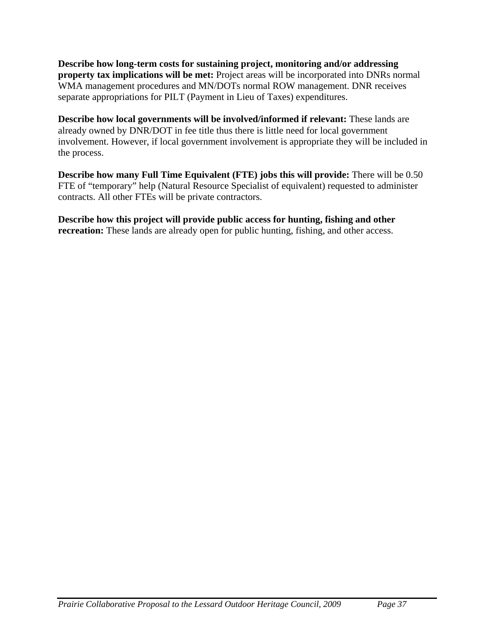**Describe how long-term costs for sustaining project, monitoring and/or addressing property tax implications will be met:** Project areas will be incorporated into DNRs normal WMA management procedures and MN/DOTs normal ROW management. DNR receives separate appropriations for PILT (Payment in Lieu of Taxes) expenditures.

**Describe how local governments will be involved/informed if relevant:** These lands are already owned by DNR/DOT in fee title thus there is little need for local government involvement. However, if local government involvement is appropriate they will be included in the process.

**Describe how many Full Time Equivalent (FTE) jobs this will provide:** There will be 0.50 FTE of "temporary" help (Natural Resource Specialist of equivalent) requested to administer contracts. All other FTEs will be private contractors.

**Describe how this project will provide public access for hunting, fishing and other recreation:** These lands are already open for public hunting, fishing, and other access.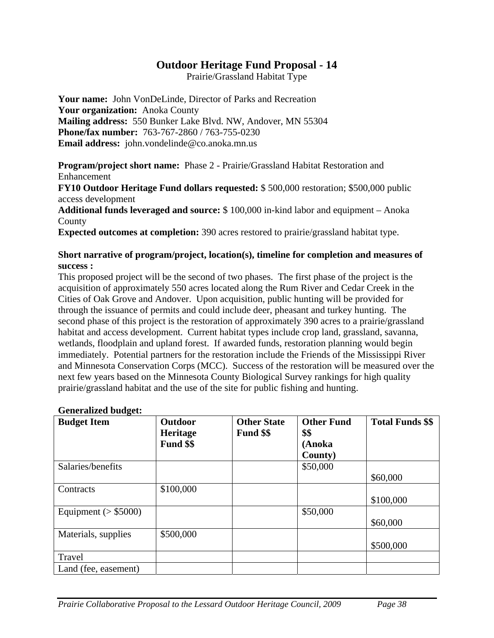Prairie/Grassland Habitat Type

**Your name:** John VonDeLinde, Director of Parks and Recreation **Your organization:** Anoka County **Mailing address:** 550 Bunker Lake Blvd. NW, Andover, MN 55304 **Phone/fax number:** 763-767-2860 / 763-755-0230 **Email address:** john.vondelinde@co.anoka.mn.us

**Program/project short name:** Phase 2 - Prairie/Grassland Habitat Restoration and Enhancement

**FY10 Outdoor Heritage Fund dollars requested:** \$ 500,000 restoration; \$500,000 public access development

**Additional funds leveraged and source:** \$ 100,000 in-kind labor and equipment – Anoka County

**Expected outcomes at completion:** 390 acres restored to prairie/grassland habitat type.

### **Short narrative of program/project, location(s), timeline for completion and measures of success :**

This proposed project will be the second of two phases. The first phase of the project is the acquisition of approximately 550 acres located along the Rum River and Cedar Creek in the Cities of Oak Grove and Andover. Upon acquisition, public hunting will be provided for through the issuance of permits and could include deer, pheasant and turkey hunting. The second phase of this project is the restoration of approximately 390 acres to a prairie/grassland habitat and access development. Current habitat types include crop land, grassland, savanna, wetlands, floodplain and upland forest. If awarded funds, restoration planning would begin immediately. Potential partners for the restoration include the Friends of the Mississippi River and Minnesota Conservation Corps (MCC). Success of the restoration will be measured over the next few years based on the Minnesota County Biological Survey rankings for high quality prairie/grassland habitat and the use of the site for public fishing and hunting.

| <b>Budget Item</b>      | Outdoor<br><b>Heritage</b><br>Fund \$\$ | <b>Other State</b><br>Fund \$\$ | <b>Other Fund</b><br>\$\$<br>(Anoka<br>County) | <b>Total Funds \$\$</b> |
|-------------------------|-----------------------------------------|---------------------------------|------------------------------------------------|-------------------------|
| Salaries/benefits       |                                         |                                 | \$50,000                                       | \$60,000                |
| Contracts               | \$100,000                               |                                 |                                                | \$100,000               |
| Equipment ( $>$ \$5000) |                                         |                                 | \$50,000                                       | \$60,000                |
| Materials, supplies     | \$500,000                               |                                 |                                                | \$500,000               |
| Travel                  |                                         |                                 |                                                |                         |
| Land (fee, easement)    |                                         |                                 |                                                |                         |

### **Generalized budget:**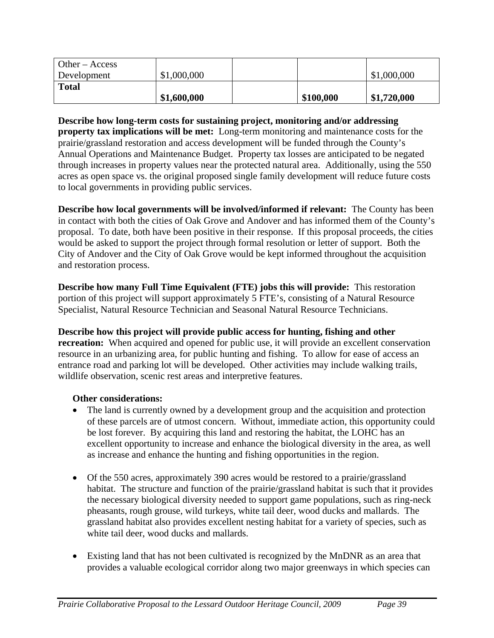| $\theta$ Other – Access<br>Development | \$1,000,000 |           | \$1,000,000 |
|----------------------------------------|-------------|-----------|-------------|
| <b>Total</b>                           | \$1,600,000 | \$100,000 | \$1,720,000 |

**Describe how long-term costs for sustaining project, monitoring and/or addressing property tax implications will be met:** Long-term monitoring and maintenance costs for the prairie/grassland restoration and access development will be funded through the County's Annual Operations and Maintenance Budget. Property tax losses are anticipated to be negated through increases in property values near the protected natural area. Additionally, using the 550 acres as open space vs. the original proposed single family development will reduce future costs to local governments in providing public services.

**Describe how local governments will be involved/informed if relevant:** The County has been in contact with both the cities of Oak Grove and Andover and has informed them of the County's proposal. To date, both have been positive in their response. If this proposal proceeds, the cities would be asked to support the project through formal resolution or letter of support. Both the City of Andover and the City of Oak Grove would be kept informed throughout the acquisition and restoration process.

**Describe how many Full Time Equivalent (FTE) jobs this will provide:** This restoration portion of this project will support approximately 5 FTE's, consisting of a Natural Resource Specialist, Natural Resource Technician and Seasonal Natural Resource Technicians.

# **Describe how this project will provide public access for hunting, fishing and other**

**recreation:** When acquired and opened for public use, it will provide an excellent conservation resource in an urbanizing area, for public hunting and fishing. To allow for ease of access an entrance road and parking lot will be developed. Other activities may include walking trails, wildlife observation, scenic rest areas and interpretive features.

# **Other considerations:**

- The land is currently owned by a development group and the acquisition and protection of these parcels are of utmost concern. Without, immediate action, this opportunity could be lost forever. By acquiring this land and restoring the habitat, the LOHC has an excellent opportunity to increase and enhance the biological diversity in the area, as well as increase and enhance the hunting and fishing opportunities in the region.
- Of the 550 acres, approximately 390 acres would be restored to a prairie/grassland habitat. The structure and function of the prairie/grassland habitat is such that it provides the necessary biological diversity needed to support game populations, such as ring-neck pheasants, rough grouse, wild turkeys, white tail deer, wood ducks and mallards. The grassland habitat also provides excellent nesting habitat for a variety of species, such as white tail deer, wood ducks and mallards.
- Existing land that has not been cultivated is recognized by the MnDNR as an area that provides a valuable ecological corridor along two major greenways in which species can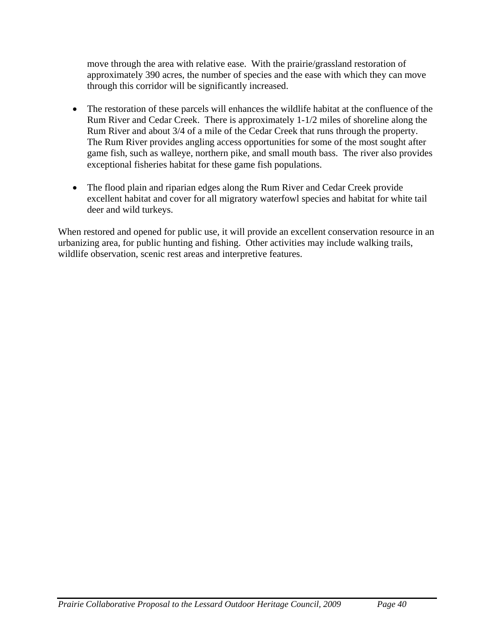move through the area with relative ease. With the prairie/grassland restoration of approximately 390 acres, the number of species and the ease with which they can move through this corridor will be significantly increased.

- The restoration of these parcels will enhances the wildlife habitat at the confluence of the Rum River and Cedar Creek. There is approximately 1-1/2 miles of shoreline along the Rum River and about 3/4 of a mile of the Cedar Creek that runs through the property. The Rum River provides angling access opportunities for some of the most sought after game fish, such as walleye, northern pike, and small mouth bass. The river also provides exceptional fisheries habitat for these game fish populations.
- The flood plain and riparian edges along the Rum River and Cedar Creek provide excellent habitat and cover for all migratory waterfowl species and habitat for white tail deer and wild turkeys.

When restored and opened for public use, it will provide an excellent conservation resource in an urbanizing area, for public hunting and fishing. Other activities may include walking trails, wildlife observation, scenic rest areas and interpretive features.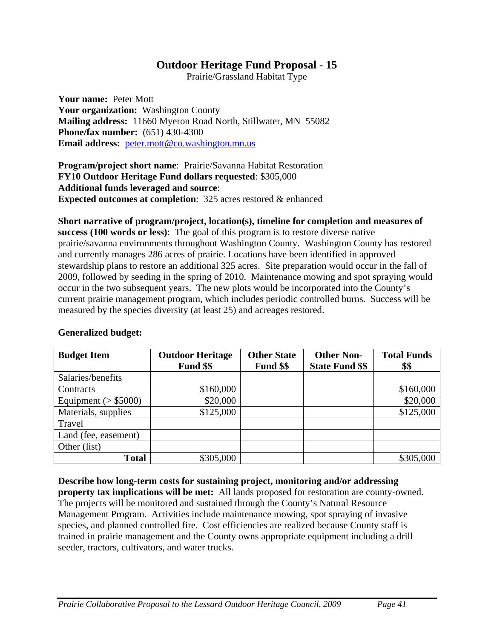Prairie/Grassland Habitat Type

**Your name:** Peter Mott Your organization: Washington County **Mailing address:** 11660 Myeron Road North, Stillwater, MN 55082 **Phone/fax number:** (651) 430-4300 **Email address:** peter.mott@co.washington.mn.us

**Program/project short name**: Prairie/Savanna Habitat Restoration **FY10 Outdoor Heritage Fund dollars requested**: \$305,000 **Additional funds leveraged and source**: **Expected outcomes at completion**: 325 acres restored & enhanced

**Short narrative of program/project, location(s), timeline for completion and measures of success (100 words or less)**: The goal of this program is to restore diverse native prairie/savanna environments throughout Washington County. Washington County has restored and currently manages 286 acres of prairie. Locations have been identified in approved stewardship plans to restore an additional 325 acres. Site preparation would occur in the fall of 2009, followed by seeding in the spring of 2010. Maintenance mowing and spot spraying would occur in the two subsequent years. The new plots would be incorporated into the County's current prairie management program, which includes periodic controlled burns. Success will be measured by the species diversity (at least 25) and acreages restored.

| <b>Budget Item</b>      | <b>Outdoor Heritage</b><br>Fund \$\$ | <b>Other State</b><br>Fund \$\$ | <b>Other Non-</b><br><b>State Fund \$\$</b> | <b>Total Funds</b><br>\$\$ |
|-------------------------|--------------------------------------|---------------------------------|---------------------------------------------|----------------------------|
| Salaries/benefits       |                                      |                                 |                                             |                            |
| Contracts               | \$160,000                            |                                 |                                             | \$160,000                  |
| Equipment ( $>$ \$5000) | \$20,000                             |                                 |                                             | \$20,000                   |
| Materials, supplies     | \$125,000                            |                                 |                                             | \$125,000                  |
| Travel                  |                                      |                                 |                                             |                            |
| Land (fee, easement)    |                                      |                                 |                                             |                            |
| Other (list)            |                                      |                                 |                                             |                            |
| <b>Total</b>            | \$305,000                            |                                 |                                             | \$305,000                  |

# **Generalized budget:**

**Describe how long-term costs for sustaining project, monitoring and/or addressing property tax implications will be met:** All lands proposed for restoration are county-owned. The projects will be monitored and sustained through the County's Natural Resource Management Program. Activities include maintenance mowing, spot spraying of invasive species, and planned controlled fire. Cost efficiencies are realized because County staff is trained in prairie management and the County owns appropriate equipment including a drill seeder, tractors, cultivators, and water trucks.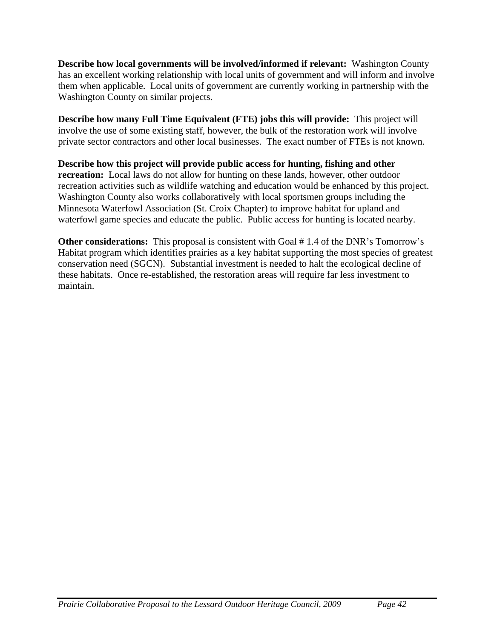**Describe how local governments will be involved/informed if relevant:** Washington County has an excellent working relationship with local units of government and will inform and involve them when applicable. Local units of government are currently working in partnership with the Washington County on similar projects.

**Describe how many Full Time Equivalent (FTE) jobs this will provide:** This project will involve the use of some existing staff, however, the bulk of the restoration work will involve private sector contractors and other local businesses. The exact number of FTEs is not known.

**Describe how this project will provide public access for hunting, fishing and other recreation:** Local laws do not allow for hunting on these lands, however, other outdoor recreation activities such as wildlife watching and education would be enhanced by this project. Washington County also works collaboratively with local sportsmen groups including the Minnesota Waterfowl Association (St. Croix Chapter) to improve habitat for upland and waterfowl game species and educate the public. Public access for hunting is located nearby.

**Other considerations:** This proposal is consistent with Goal #1.4 of the DNR's Tomorrow's Habitat program which identifies prairies as a key habitat supporting the most species of greatest conservation need (SGCN). Substantial investment is needed to halt the ecological decline of these habitats. Once re-established, the restoration areas will require far less investment to maintain.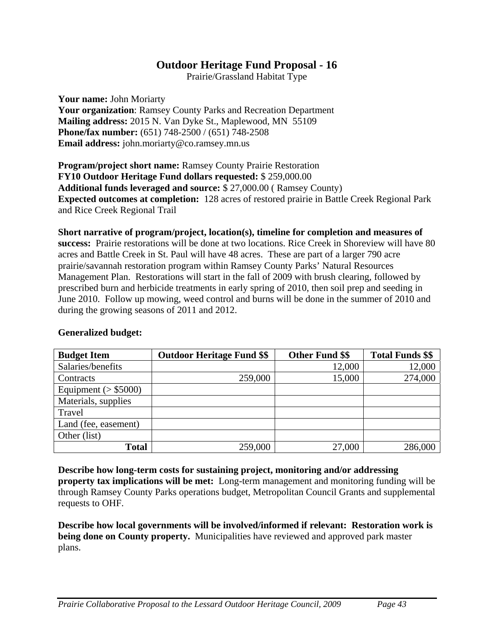Prairie/Grassland Habitat Type

**Your name:** John Moriarty **Your organization**: Ramsey County Parks and Recreation Department **Mailing address:** 2015 N. Van Dyke St., Maplewood, MN 55109 **Phone/fax number:** (651) 748-2500 / (651) 748-2508 **Email address:** john.moriarty@co.ramsey.mn.us

**Program/project short name:** Ramsey County Prairie Restoration **FY10 Outdoor Heritage Fund dollars requested:** \$ 259,000.00 **Additional funds leveraged and source:** \$ 27,000.00 ( Ramsey County) **Expected outcomes at completion:** 128 acres of restored prairie in Battle Creek Regional Park and Rice Creek Regional Trail

**Short narrative of program/project, location(s), timeline for completion and measures of success:** Prairie restorations will be done at two locations. Rice Creek in Shoreview will have 80 acres and Battle Creek in St. Paul will have 48 acres. These are part of a larger 790 acre prairie/savannah restoration program within Ramsey County Parks' Natural Resources Management Plan. Restorations will start in the fall of 2009 with brush clearing, followed by prescribed burn and herbicide treatments in early spring of 2010, then soil prep and seeding in June 2010. Follow up mowing, weed control and burns will be done in the summer of 2010 and during the growing seasons of 2011 and 2012.

| <b>Budget Item</b>      | <b>Outdoor Heritage Fund \$\$</b> | <b>Other Fund \$\$</b> | <b>Total Funds \$\$</b> |
|-------------------------|-----------------------------------|------------------------|-------------------------|
| Salaries/benefits       |                                   | 12,000                 | 12,000                  |
| Contracts               | 259,000                           | 15,000                 | 274,000                 |
| Equipment ( $>$ \$5000) |                                   |                        |                         |
| Materials, supplies     |                                   |                        |                         |
| Travel                  |                                   |                        |                         |
| Land (fee, easement)    |                                   |                        |                         |
| Other (list)            |                                   |                        |                         |
| <b>Total</b>            | 259,000                           | 27,000                 | 286,000                 |

# **Generalized budget:**

**Describe how long-term costs for sustaining project, monitoring and/or addressing property tax implications will be met:** Long-term management and monitoring funding will be through Ramsey County Parks operations budget, Metropolitan Council Grants and supplemental requests to OHF.

**Describe how local governments will be involved/informed if relevant: Restoration work is being done on County property.** Municipalities have reviewed and approved park master plans.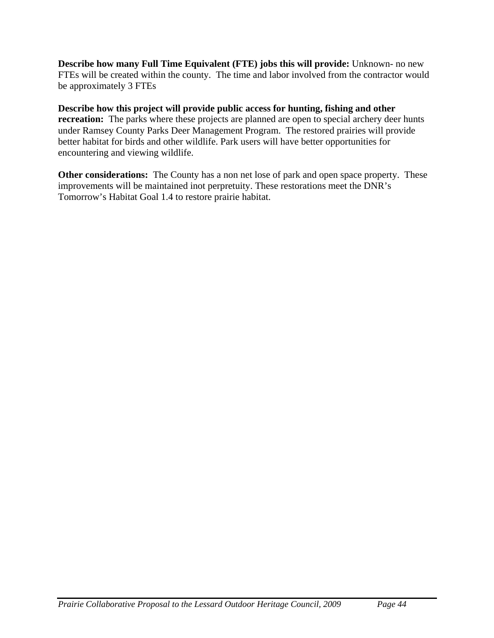**Describe how many Full Time Equivalent (FTE) jobs this will provide:** Unknown- no new FTEs will be created within the county. The time and labor involved from the contractor would be approximately 3 FTEs

**Describe how this project will provide public access for hunting, fishing and other recreation:** The parks where these projects are planned are open to special archery deer hunts under Ramsey County Parks Deer Management Program. The restored prairies will provide better habitat for birds and other wildlife. Park users will have better opportunities for encountering and viewing wildlife.

**Other considerations:** The County has a non net lose of park and open space property. These improvements will be maintained inot perpretuity. These restorations meet the DNR's Tomorrow's Habitat Goal 1.4 to restore prairie habitat.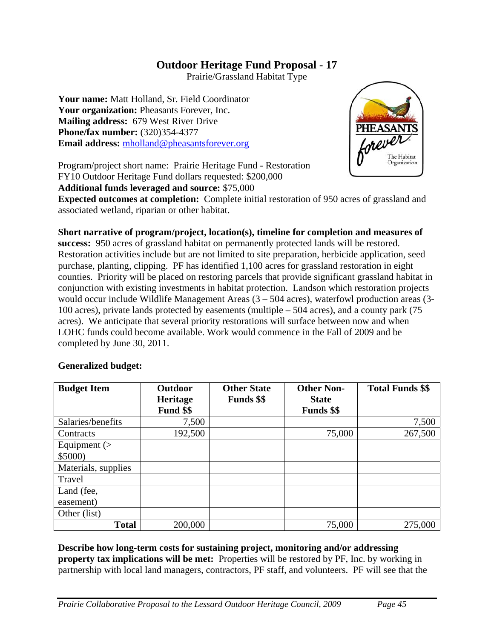Prairie/Grassland Habitat Type

**Your name:** Matt Holland, Sr. Field Coordinator **Your organization:** Pheasants Forever, Inc. **Mailing address:** 679 West River Drive **Phone/fax number:** (320)354-4377 **Email address:** mholland@pheasantsforever.org



Program/project short name: Prairie Heritage Fund - Restoration FY10 Outdoor Heritage Fund dollars requested: \$200,000

**Additional funds leveraged and source:** \$75,000

**Expected outcomes at completion:** Complete initial restoration of 950 acres of grassland and associated wetland, riparian or other habitat.

**Short narrative of program/project, location(s), timeline for completion and measures of success:** 950 acres of grassland habitat on permanently protected lands will be restored. Restoration activities include but are not limited to site preparation, herbicide application, seed purchase, planting, clipping. PF has identified 1,100 acres for grassland restoration in eight counties. Priority will be placed on restoring parcels that provide significant grassland habitat in conjunction with existing investments in habitat protection. Landson which restoration projects would occur include Wildlife Management Areas (3 – 504 acres), waterfowl production areas (3- 100 acres), private lands protected by easements (multiple – 504 acres), and a county park (75 acres). We anticipate that several priority restorations will surface between now and when LOHC funds could become available. Work would commence in the Fall of 2009 and be completed by June 30, 2011.

### **Generalized budget:**

| <b>Budget Item</b>  | <b>Outdoor</b><br><b>Heritage</b> | <b>Other State</b><br><b>Funds</b> \$\$ | <b>Other Non-</b><br><b>State</b> | <b>Total Funds \$\$</b> |
|---------------------|-----------------------------------|-----------------------------------------|-----------------------------------|-------------------------|
|                     | Fund \$\$                         |                                         | <b>Funds</b> \$\$                 |                         |
| Salaries/benefits   | 7,500                             |                                         |                                   | 7,500                   |
| Contracts           | 192,500                           |                                         | 75,000                            | 267,500                 |
| Equipment $($       |                                   |                                         |                                   |                         |
| \$5000              |                                   |                                         |                                   |                         |
| Materials, supplies |                                   |                                         |                                   |                         |
| Travel              |                                   |                                         |                                   |                         |
| Land (fee,          |                                   |                                         |                                   |                         |
| easement)           |                                   |                                         |                                   |                         |
| Other (list)        |                                   |                                         |                                   |                         |
| <b>Total</b>        | 200,000                           |                                         | 75,000                            | 275,000                 |

**Describe how long-term costs for sustaining project, monitoring and/or addressing property tax implications will be met:** Properties will be restored by PF, Inc. by working in partnership with local land managers, contractors, PF staff, and volunteers. PF will see that the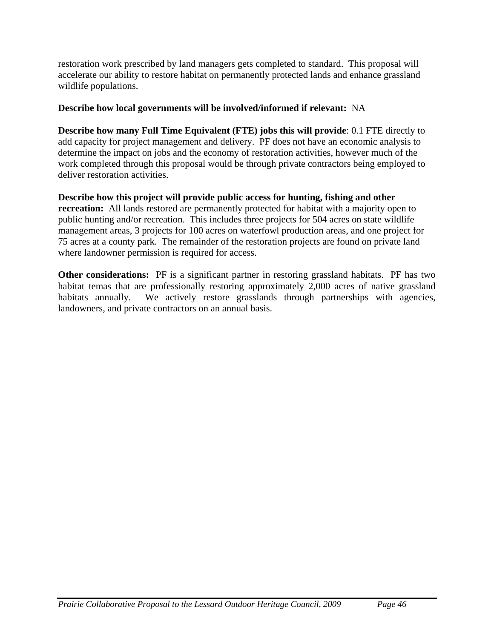restoration work prescribed by land managers gets completed to standard. This proposal will accelerate our ability to restore habitat on permanently protected lands and enhance grassland wildlife populations.

# **Describe how local governments will be involved/informed if relevant:** NA

**Describe how many Full Time Equivalent (FTE) jobs this will provide**: 0.1 FTE directly to add capacity for project management and delivery. PF does not have an economic analysis to determine the impact on jobs and the economy of restoration activities, however much of the work completed through this proposal would be through private contractors being employed to deliver restoration activities.

**Describe how this project will provide public access for hunting, fishing and other recreation:** All lands restored are permanently protected for habitat with a majority open to public hunting and/or recreation. This includes three projects for 504 acres on state wildlife management areas, 3 projects for 100 acres on waterfowl production areas, and one project for 75 acres at a county park. The remainder of the restoration projects are found on private land where landowner permission is required for access.

**Other considerations:** PF is a significant partner in restoring grassland habitats. PF has two habitat temas that are professionally restoring approximately 2,000 acres of native grassland habitats annually. We actively restore grasslands through partnerships with agencies, landowners, and private contractors on an annual basis.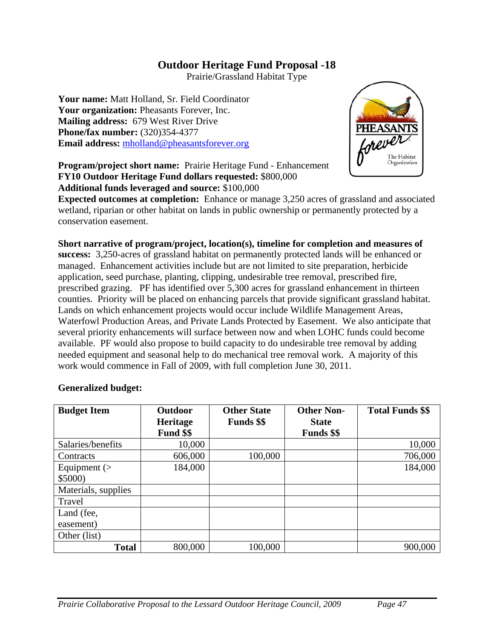Prairie/Grassland Habitat Type

**Your name:** Matt Holland, Sr. Field Coordinator **Your organization:** Pheasants Forever, Inc. **Mailing address:** 679 West River Drive **Phone/fax number:** (320)354-4377 **Email address:** mholland@pheasantsforever.org



**Program/project short name:** Prairie Heritage Fund - Enhancement **FY10 Outdoor Heritage Fund dollars requested:** \$800,000 **Additional funds leveraged and source:** \$100,000

**Expected outcomes at completion:** Enhance or manage 3,250 acres of grassland and associated wetland, riparian or other habitat on lands in public ownership or permanently protected by a conservation easement.

**Short narrative of program/project, location(s), timeline for completion and measures of success:** 3,250-acres of grassland habitat on permanently protected lands will be enhanced or managed. Enhancement activities include but are not limited to site preparation, herbicide application, seed purchase, planting, clipping, undesirable tree removal, prescribed fire, prescribed grazing. PF has identified over 5,300 acres for grassland enhancement in thirteen counties. Priority will be placed on enhancing parcels that provide significant grassland habitat. Lands on which enhancement projects would occur include Wildlife Management Areas, Waterfowl Production Areas, and Private Lands Protected by Easement. We also anticipate that several priority enhancements will surface between now and when LOHC funds could become available. PF would also propose to build capacity to do undesirable tree removal by adding needed equipment and seasonal help to do mechanical tree removal work. A majority of this work would commence in Fall of 2009, with full completion June 30, 2011.

### **Generalized budget:**

| <b>Budget Item</b>  | <b>Outdoor</b> | <b>Other State</b> | <b>Other Non-</b> | <b>Total Funds \$\$</b> |
|---------------------|----------------|--------------------|-------------------|-------------------------|
|                     | Heritage       | <b>Funds</b> \$\$  | <b>State</b>      |                         |
|                     | Fund \$\$      |                    | <b>Funds</b> \$\$ |                         |
| Salaries/benefits   | 10,000         |                    |                   | 10,000                  |
| Contracts           | 606,000        | 100,000            |                   | 706,000                 |
| Equipment $($       | 184,000        |                    |                   | 184,000                 |
| \$5000)             |                |                    |                   |                         |
| Materials, supplies |                |                    |                   |                         |
| Travel              |                |                    |                   |                         |
| Land (fee,          |                |                    |                   |                         |
| easement)           |                |                    |                   |                         |
| Other (list)        |                |                    |                   |                         |
| <b>Total</b>        | 800,000        | 100,000            |                   | 900,000                 |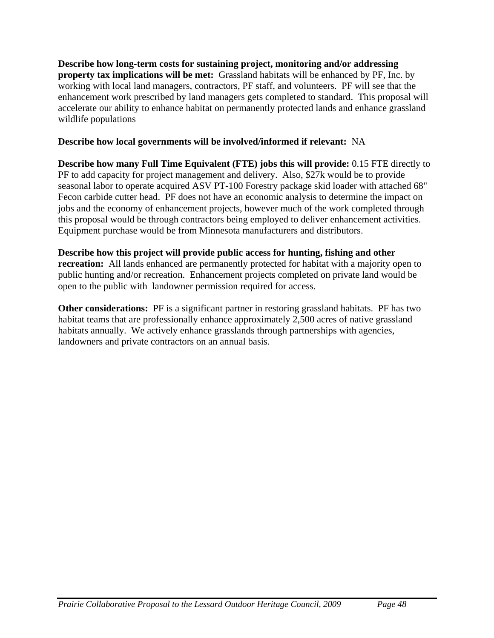**Describe how long-term costs for sustaining project, monitoring and/or addressing property tax implications will be met:** Grassland habitats will be enhanced by PF, Inc. by working with local land managers, contractors, PF staff, and volunteers. PF will see that the enhancement work prescribed by land managers gets completed to standard. This proposal will accelerate our ability to enhance habitat on permanently protected lands and enhance grassland wildlife populations

# **Describe how local governments will be involved/informed if relevant:** NA

**Describe how many Full Time Equivalent (FTE) jobs this will provide:** 0.15 FTE directly to PF to add capacity for project management and delivery. Also, \$27k would be to provide seasonal labor to operate acquired ASV PT-100 Forestry package skid loader with attached 68" Fecon carbide cutter head. PF does not have an economic analysis to determine the impact on jobs and the economy of enhancement projects, however much of the work completed through this proposal would be through contractors being employed to deliver enhancement activities. Equipment purchase would be from Minnesota manufacturers and distributors.

# **Describe how this project will provide public access for hunting, fishing and other**

**recreation:** All lands enhanced are permanently protected for habitat with a majority open to public hunting and/or recreation. Enhancement projects completed on private land would be open to the public with landowner permission required for access.

**Other considerations:** PF is a significant partner in restoring grassland habitats. PF has two habitat teams that are professionally enhance approximately 2,500 acres of native grassland habitats annually. We actively enhance grasslands through partnerships with agencies, landowners and private contractors on an annual basis.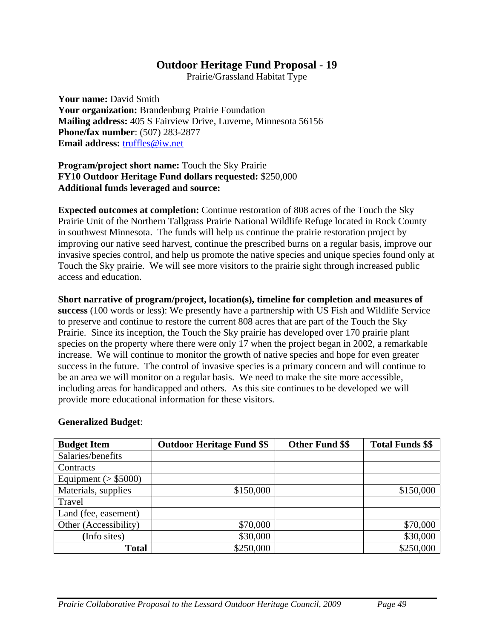Prairie/Grassland Habitat Type

**Your name:** David Smith **Your organization:** Brandenburg Prairie Foundation **Mailing address:** 405 S Fairview Drive, Luverne, Minnesota 56156 **Phone/fax number**: (507) 283-2877 **Email address:** truffles@iw.net

### **Program/project short name:** Touch the Sky Prairie **FY10 Outdoor Heritage Fund dollars requested:** \$250,000 **Additional funds leveraged and source:**

**Expected outcomes at completion:** Continue restoration of 808 acres of the Touch the Sky Prairie Unit of the Northern Tallgrass Prairie National Wildlife Refuge located in Rock County in southwest Minnesota. The funds will help us continue the prairie restoration project by improving our native seed harvest, continue the prescribed burns on a regular basis, improve our invasive species control, and help us promote the native species and unique species found only at Touch the Sky prairie. We will see more visitors to the prairie sight through increased public access and education.

### **Short narrative of program/project, location(s), timeline for completion and measures of**

**success** (100 words or less): We presently have a partnership with US Fish and Wildlife Service to preserve and continue to restore the current 808 acres that are part of the Touch the Sky Prairie. Since its inception, the Touch the Sky prairie has developed over 170 prairie plant species on the property where there were only 17 when the project began in 2002, a remarkable increase. We will continue to monitor the growth of native species and hope for even greater success in the future. The control of invasive species is a primary concern and will continue to be an area we will monitor on a regular basis. We need to make the site more accessible, including areas for handicapped and others. As this site continues to be developed we will provide more educational information for these visitors.

| <b>Budget Item</b>      | <b>Outdoor Heritage Fund \$\$</b> | <b>Other Fund \$\$</b> | <b>Total Funds \$\$</b> |
|-------------------------|-----------------------------------|------------------------|-------------------------|
| Salaries/benefits       |                                   |                        |                         |
| Contracts               |                                   |                        |                         |
| Equipment ( $>$ \$5000) |                                   |                        |                         |
| Materials, supplies     | \$150,000                         |                        | \$150,000               |
| Travel                  |                                   |                        |                         |
| Land (fee, easement)    |                                   |                        |                         |
| Other (Accessibility)   | \$70,000                          |                        | \$70,000                |
| (Info sites)            | \$30,000                          |                        | \$30,000                |
| <b>Total</b>            | \$250,000                         |                        | \$250,000               |

### **Generalized Budget**: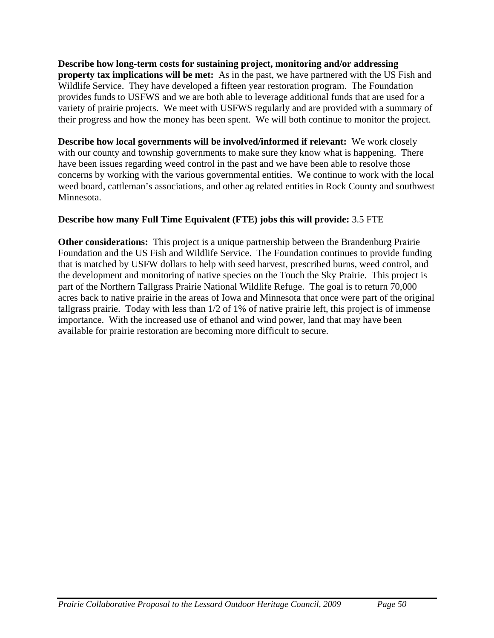**Describe how long-term costs for sustaining project, monitoring and/or addressing property tax implications will be met:** As in the past, we have partnered with the US Fish and Wildlife Service. They have developed a fifteen year restoration program. The Foundation provides funds to USFWS and we are both able to leverage additional funds that are used for a variety of prairie projects. We meet with USFWS regularly and are provided with a summary of their progress and how the money has been spent. We will both continue to monitor the project.

**Describe how local governments will be involved/informed if relevant:** We work closely with our county and township governments to make sure they know what is happening. There have been issues regarding weed control in the past and we have been able to resolve those concerns by working with the various governmental entities. We continue to work with the local weed board, cattleman's associations, and other ag related entities in Rock County and southwest Minnesota.

# **Describe how many Full Time Equivalent (FTE) jobs this will provide:** 3.5 FTE

**Other considerations:** This project is a unique partnership between the Brandenburg Prairie Foundation and the US Fish and Wildlife Service. The Foundation continues to provide funding that is matched by USFW dollars to help with seed harvest, prescribed burns, weed control, and the development and monitoring of native species on the Touch the Sky Prairie. This project is part of the Northern Tallgrass Prairie National Wildlife Refuge. The goal is to return 70,000 acres back to native prairie in the areas of Iowa and Minnesota that once were part of the original tallgrass prairie. Today with less than 1/2 of 1% of native prairie left, this project is of immense importance. With the increased use of ethanol and wind power, land that may have been available for prairie restoration are becoming more difficult to secure.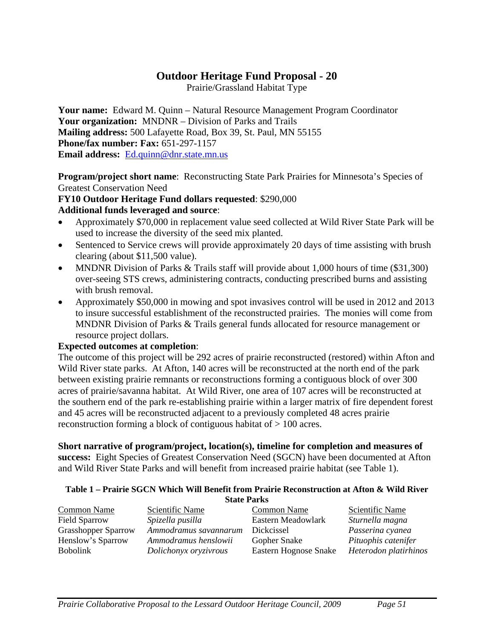Prairie/Grassland Habitat Type

**Your name:** Edward M. Quinn – Natural Resource Management Program Coordinator **Your organization:** MNDNR – Division of Parks and Trails **Mailing address:** 500 Lafayette Road, Box 39, St. Paul, MN 55155 **Phone/fax number: Fax:** 651-297-1157 **Email address:** Ed.quinn@dnr.state.mn.us

**Program/project short name**: Reconstructing State Park Prairies for Minnesota's Species of Greatest Conservation Need

### **FY10 Outdoor Heritage Fund dollars requested**: \$290,000 **Additional funds leveraged and source**:

- Approximately \$70,000 in replacement value seed collected at Wild River State Park will be used to increase the diversity of the seed mix planted.
- Sentenced to Service crews will provide approximately 20 days of time assisting with brush clearing (about \$11,500 value).
- MNDNR Division of Parks & Trails staff will provide about 1,000 hours of time (\$31,300) over-seeing STS crews, administering contracts, conducting prescribed burns and assisting with brush removal.
- Approximately \$50,000 in mowing and spot invasives control will be used in 2012 and 2013 to insure successful establishment of the reconstructed prairies. The monies will come from MNDNR Division of Parks & Trails general funds allocated for resource management or resource project dollars.

### **Expected outcomes at completion**:

The outcome of this project will be 292 acres of prairie reconstructed (restored) within Afton and Wild River state parks. At Afton, 140 acres will be reconstructed at the north end of the park between existing prairie remnants or reconstructions forming a contiguous block of over 300 acres of prairie/savanna habitat. At Wild River, one area of 107 acres will be reconstructed at the southern end of the park re-establishing prairie within a larger matrix of fire dependent forest and 45 acres will be reconstructed adjacent to a previously completed 48 acres prairie reconstruction forming a block of contiguous habitat of > 100 acres.

**Short narrative of program/project, location(s), timeline for completion and measures of success:** Eight Species of Greatest Conservation Need (SGCN) have been documented at Afton and Wild River State Parks and will benefit from increased prairie habitat (see Table 1).

#### **Table 1 – Prairie SGCN Which Will Benefit from Prairie Reconstruction at Afton & Wild River State Parks**

|                            | Diait I al N5         |                       |                       |
|----------------------------|-----------------------|-----------------------|-----------------------|
| Common Name                | Scientific Name       | Common Name           | Scientific Name       |
| <b>Field Sparrow</b>       | Spizella pusilla      | Eastern Meadowlark    | Sturnella magna       |
| <b>Grasshopper Sparrow</b> | Ammodramus savannarum | Dickcissel            | Passerina cyanea      |
| Henslow's Sparrow          | Ammodramus henslowii  | Gopher Snake          | Pituophis catenifer   |
| <b>Bobolink</b>            | Dolichonyx oryzivrous | Eastern Hognose Snake | Heterodon platirhinos |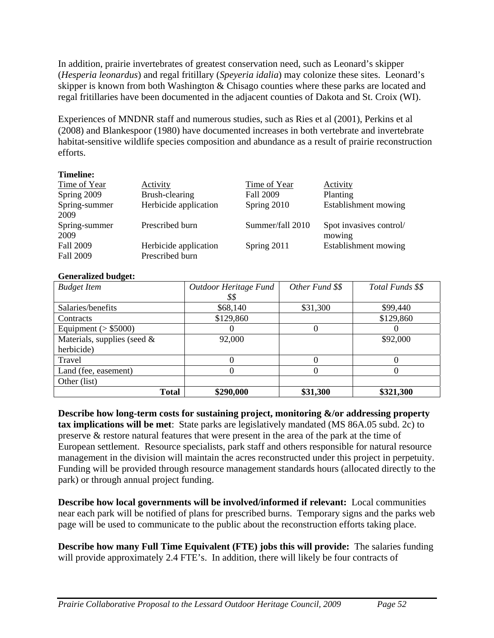In addition, prairie invertebrates of greatest conservation need, such as Leonard's skipper (*Hesperia leonardus*) and regal fritillary (*Speyeria idalia*) may colonize these sites. Leonard's skipper is known from both Washington & Chisago counties where these parks are located and regal fritillaries have been documented in the adjacent counties of Dakota and St. Croix (WI).

Experiences of MNDNR staff and numerous studies, such as Ries et al (2001), Perkins et al (2008) and Blankespoor (1980) have documented increases in both vertebrate and invertebrate habitat-sensitive wildlife species composition and abundance as a result of prairie reconstruction efforts.

### **Timeline:**

| Time of Year     | Activity              | Time of Year     | Activity                |
|------------------|-----------------------|------------------|-------------------------|
| Spring 2009      | Brush-clearing        | <b>Fall 2009</b> | Planting                |
| Spring-summer    | Herbicide application | Spring 2010      | Establishment mowing    |
| 2009             |                       |                  |                         |
|                  |                       |                  |                         |
| Spring-summer    | Prescribed burn       | Summer/fall 2010 | Spot invasives control/ |
| 2009             |                       |                  | mowing                  |
| <b>Fall 2009</b> | Herbicide application | Spring 2011      | Establishment mowing    |

### **Generalized budget:**

| <b>Budget Item</b>             | Outdoor Heritage Fund | Other Fund \$\$       | Total Funds \$\$ |
|--------------------------------|-----------------------|-----------------------|------------------|
|                                | \$\$                  |                       |                  |
| Salaries/benefits              | \$68,140              | \$31,300              | \$99,440         |
| Contracts                      | \$129,860             |                       | \$129,860        |
| Equipment ( $>$ \$5000)        |                       |                       |                  |
| Materials, supplies (seed $\&$ | 92,000                |                       | \$92,000         |
| herbicide)                     |                       |                       |                  |
| Travel                         |                       |                       |                  |
| Land (fee, easement)           |                       | $\mathbf{\mathbf{C}}$ | $\mathcal{O}$    |
| Other (list)                   |                       |                       |                  |
| <b>Total</b>                   | \$290,000             | \$31,300              | \$321,300        |

**Describe how long-term costs for sustaining project, monitoring &/or addressing property tax implications will be met**: State parks are legislatively mandated (MS 86A.05 subd. 2c) to preserve & restore natural features that were present in the area of the park at the time of European settlement. Resource specialists, park staff and others responsible for natural resource management in the division will maintain the acres reconstructed under this project in perpetuity. Funding will be provided through resource management standards hours (allocated directly to the park) or through annual project funding.

**Describe how local governments will be involved/informed if relevant:** Local communities near each park will be notified of plans for prescribed burns. Temporary signs and the parks web page will be used to communicate to the public about the reconstruction efforts taking place.

**Describe how many Full Time Equivalent (FTE) jobs this will provide:** The salaries funding will provide approximately 2.4 FTE's. In addition, there will likely be four contracts of